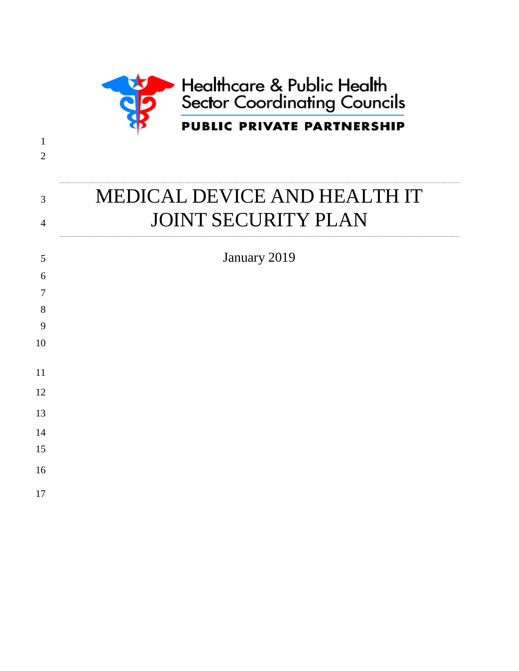

# 3 MEDICAL DEVICE AND HEALTH IT 4 JOINT SECURITY PLAN

 

 

 

 

January 2019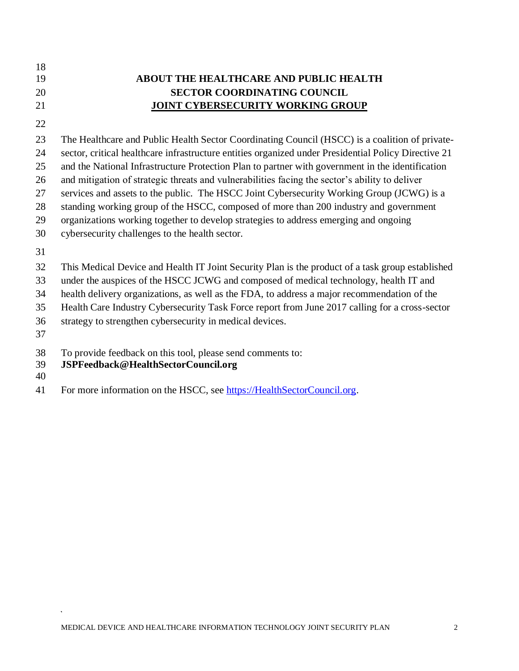- 
- 

### **ABOUT THE HEALTHCARE AND PUBLIC HEALTH SECTOR COORDINATING COUNCIL JOINT CYBERSECURITY WORKING GROUP**

The Healthcare and Public Health Sector Coordinating Council (HSCC) is a coalition of private-

 sector, critical healthcare infrastructure entities organized under Presidential Policy Directive 21 and the National Infrastructure Protection Plan to partner with government in the identification

and mitigation of strategic threats and vulnerabilities facing the sector's ability to deliver

services and assets to the public. The HSCC Joint Cybersecurity Working Group (JCWG) is a

standing working group of the HSCC, composed of more than 200 industry and government

organizations working together to develop strategies to address emerging and ongoing

cybersecurity challenges to the health sector.

This Medical Device and Health IT Joint Security Plan is the product of a task group established

under the auspices of the HSCC JCWG and composed of medical technology, health IT and

health delivery organizations, as well as the FDA, to address a major recommendation of the

Health Care Industry Cybersecurity Task Force report from June 2017 calling for a cross-sector

strategy to strengthen cybersecurity in medical devices.

To provide feedback on this tool, please send comments to:

### **JSPFeedback@HealthSectorCouncil.org**

41 For more information on the HSCC, see [https://HealthSectorCouncil.org.](https://healthsectorcouncil.org/)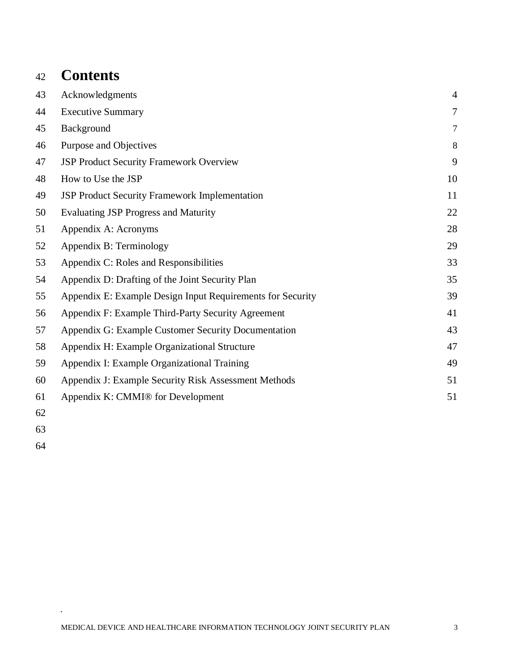### **Contents**

| 43 | Acknowledgments                                            | $\overline{4}$ |
|----|------------------------------------------------------------|----------------|
| 44 | <b>Executive Summary</b>                                   | 7              |
| 45 | Background                                                 | 7              |
| 46 | Purpose and Objectives                                     | 8              |
| 47 | <b>JSP Product Security Framework Overview</b>             | 9              |
| 48 | How to Use the JSP                                         | 10             |
| 49 | <b>JSP Product Security Framework Implementation</b>       | 11             |
| 50 | <b>Evaluating JSP Progress and Maturity</b>                | 22             |
| 51 | Appendix A: Acronyms                                       | 28             |
| 52 | Appendix B: Terminology                                    | 29             |
| 53 | Appendix C: Roles and Responsibilities                     | 33             |
| 54 | Appendix D: Drafting of the Joint Security Plan            | 35             |
| 55 | Appendix E: Example Design Input Requirements for Security | 39             |
| 56 | Appendix F: Example Third-Party Security Agreement         | 41             |
| 57 | Appendix G: Example Customer Security Documentation        | 43             |
| 58 | Appendix H: Example Organizational Structure               | 47             |
| 59 | Appendix I: Example Organizational Training                | 49             |
| 60 | Appendix J: Example Security Risk Assessment Methods       | 51             |
| 61 | Appendix K: CMMI® for Development                          | 51             |
|    |                                                            |                |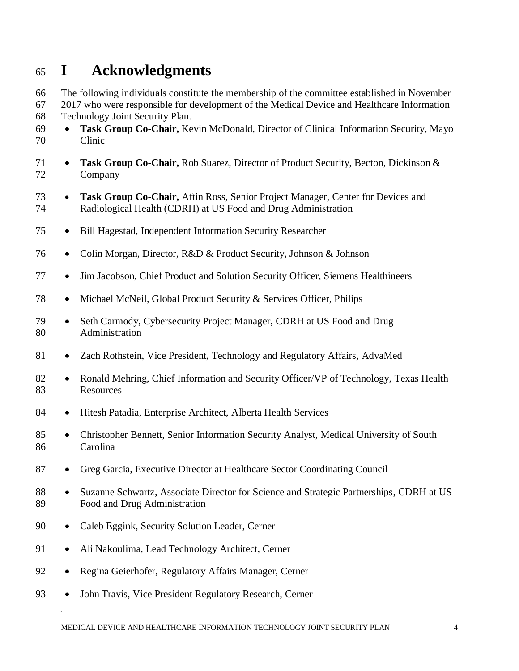### <span id="page-3-0"></span>**I Acknowledgments**

 The following individuals constitute the membership of the committee established in November 2017 who were responsible for development of the Medical Device and Healthcare Information

Technology Joint Security Plan.

- **Task Group Co-Chair,** Kevin McDonald, Director of Clinical Information Security, Mayo Clinic
- **Task Group Co-Chair,** Rob Suarez, Director of Product Security, Becton, Dickinson & Company
- **Task Group Co-Chair,** Aftin Ross, Senior Project Manager, Center for Devices and Radiological Health (CDRH) at US Food and Drug Administration
- Bill Hagestad, Independent Information Security Researcher
- Colin Morgan, Director, R&D & Product Security, Johnson & Johnson
- Jim Jacobson, Chief Product and Solution Security Officer, Siemens Healthineers
- Michael McNeil, Global Product Security & Services Officer, Philips
- 79 Seth Carmody, Cybersecurity Project Manager, CDRH at US Food and Drug Administration
- Zach Rothstein, Vice President, Technology and Regulatory Affairs, AdvaMed
- 82 Ronald Mehring, Chief Information and Security Officer/VP of Technology, Texas Health Resources
- Hitesh Patadia, Enterprise Architect, Alberta Health Services
- Christopher Bennett, Senior Information Security Analyst, Medical University of South Carolina
- Greg Garcia, Executive Director at Healthcare Sector Coordinating Council
- Suzanne Schwartz, Associate Director for Science and Strategic Partnerships, CDRH at US Food and Drug Administration
- Caleb Eggink, Security Solution Leader, Cerner
- 91 Ali Nakoulima, Lead Technology Architect, Cerner
- Regina Geierhofer, Regulatory Affairs Manager, Cerner
- John Travis, Vice President Regulatory Research, Cerner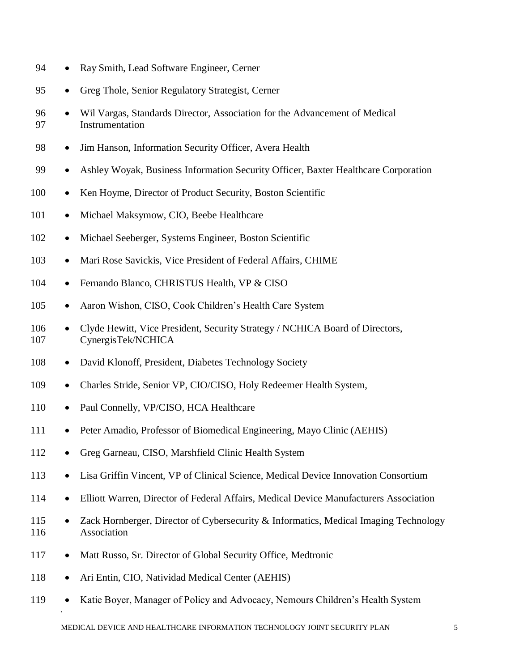- 94 Ray Smith, Lead Software Engineer, Cerner
- 95 Greg Thole, Senior Regulatory Strategist, Cerner
- 96 Wil Vargas, Standards Director, Association for the Advancement of Medical 97 Instrumentation
- 98 Jim Hanson, Information Security Officer, Avera Health
- 99 Ashley Woyak, Business Information Security Officer, Baxter Healthcare Corporation
- 100 Ken Hoyme, Director of Product Security, Boston Scientific
- 101 Michael Maksymow, CIO, Beebe Healthcare
- 102 Michael Seeberger, Systems Engineer, Boston Scientific
- 103 Mari Rose Savickis, Vice President of Federal Affairs, CHIME
- 104 Fernando Blanco, CHRISTUS Health, VP & CISO
- 105 Aaron Wishon, CISO, Cook Children's Health Care System
- 106 Clyde Hewitt, Vice President, Security Strategy / NCHICA Board of Directors, 107 CynergisTek/NCHICA
- 108 David Klonoff, President, Diabetes Technology Society
- 109 Charles Stride, Senior VP, CIO/CISO, Holy Redeemer Health System,
- 110 Paul Connelly, VP/CISO, HCA Healthcare
- 111 Peter Amadio, Professor of Biomedical Engineering, Mayo Clinic (AEHIS)
- 112 Greg Garneau, CISO, Marshfield Clinic Health System
- 113 Lisa Griffin Vincent, VP of Clinical Science, Medical Device Innovation Consortium
- 114 Elliott Warren, Director of Federal Affairs, Medical Device Manufacturers Association
- 115 Zack Hornberger, Director of Cybersecurity & Informatics, Medical Imaging Technology 116 Association
- 117 Matt Russo, Sr. Director of Global Security Office, Medtronic
- 118 Ari Entin, CIO, Natividad Medical Center (AEHIS)
- 119 Katie Boyer, Manager of Policy and Advocacy, Nemours Children's Health System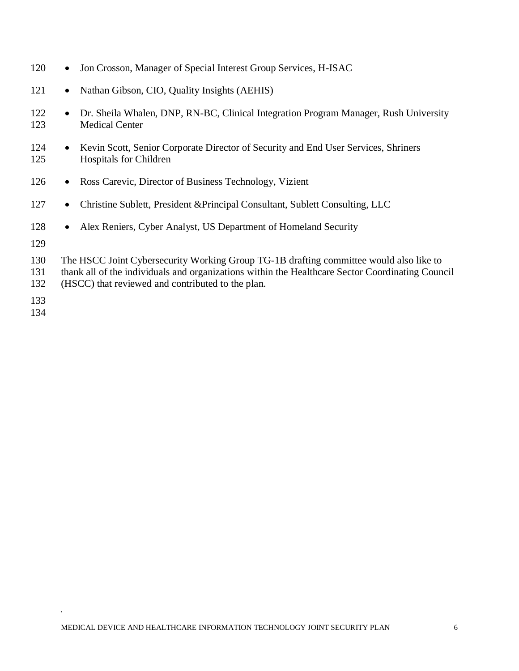| 120               | Jon Crosson, Manager of Special Interest Group Services, H-ISAC<br>$\bullet$                                                                                                                                                                    |
|-------------------|-------------------------------------------------------------------------------------------------------------------------------------------------------------------------------------------------------------------------------------------------|
| 121               | Nathan Gibson, CIO, Quality Insights (AEHIS)<br>$\bullet$                                                                                                                                                                                       |
| 122<br>123        | Dr. Sheila Whalen, DNP, RN-BC, Clinical Integration Program Manager, Rush University<br>$\bullet$<br><b>Medical Center</b>                                                                                                                      |
| 124<br>125        | Kevin Scott, Senior Corporate Director of Security and End User Services, Shriners<br>$\bullet$<br><b>Hospitals for Children</b>                                                                                                                |
| 126               | Ross Carevic, Director of Business Technology, Vizient<br>$\bullet$                                                                                                                                                                             |
| 127               | Christine Sublett, President & Principal Consultant, Sublett Consulting, LLC<br>$\bullet$                                                                                                                                                       |
| 128               | Alex Reniers, Cyber Analyst, US Department of Homeland Security<br>$\bullet$                                                                                                                                                                    |
| 129               |                                                                                                                                                                                                                                                 |
| 130<br>131<br>132 | The HSCC Joint Cybersecurity Working Group TG-1B drafting committee would also like to<br>thank all of the individuals and organizations within the Healthcare Sector Coordinating Council<br>(HSCC) that reviewed and contributed to the plan. |
| 122               |                                                                                                                                                                                                                                                 |

- 133
- 134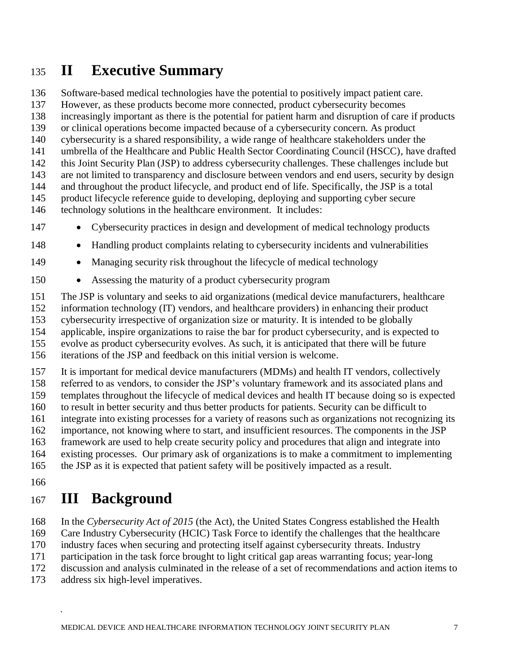### <span id="page-6-0"></span>**II Executive Summary**

Software-based medical technologies have the potential to positively impact patient care.

However, as these products become more connected, product cybersecurity becomes

increasingly important as there is the potential for patient harm and disruption of care if products

or clinical operations become impacted because of a cybersecurity concern. As product

cybersecurity is a shared responsibility, a wide range of healthcare stakeholders under the

umbrella of the Healthcare and Public Health Sector Coordinating Council (HSCC), have drafted

 this Joint Security Plan (JSP) to address cybersecurity challenges. These challenges include but are not limited to transparency and disclosure between vendors and end users, security by design

and throughout the product lifecycle, and product end of life. Specifically, the JSP is a total

product lifecycle reference guide to developing, deploying and supporting cyber secure

technology solutions in the healthcare environment. It includes:

- Cybersecurity practices in design and development of medical technology products
- Handling product complaints relating to cybersecurity incidents and vulnerabilities
- 149 Managing security risk throughout the lifecycle of medical technology
- Assessing the maturity of a product cybersecurity program

The JSP is voluntary and seeks to aid organizations (medical device manufacturers, healthcare

information technology (IT) vendors, and healthcare providers) in enhancing their product

cybersecurity irrespective of organization size or maturity. It is intended to be globally

applicable, inspire organizations to raise the bar for product cybersecurity, and is expected to

evolve as product cybersecurity evolves. As such, it is anticipated that there will be future

iterations of the JSP and feedback on this initial version is welcome.

It is important for medical device manufacturers (MDMs) and health IT vendors, collectively

referred to as vendors, to consider the JSP's voluntary framework and its associated plans and

 templates throughout the lifecycle of medical devices and health IT because doing so is expected to result in better security and thus better products for patients. Security can be difficult to

- integrate into existing processes for a variety of reasons such as organizations not recognizing its
- importance, not knowing where to start, and insufficient resources. The components in the JSP

framework are used to help create security policy and procedures that align and integrate into

existing processes. Our primary ask of organizations is to make a commitment to implementing

the JSP as it is expected that patient safety will be positively impacted as a result.

# <span id="page-6-1"></span>**III Background**

In the *Cybersecurity Act of 2015* (the Act), the United States Congress established the Health

Care Industry Cybersecurity (HCIC) Task Force to identify the challenges that the healthcare

industry faces when securing and protecting itself against cybersecurity threats. Industry

participation in the task force brought to light critical gap areas warranting focus; year-long

discussion and analysis culminated in the release of a set of recommendations and action items to

address six high-level imperatives.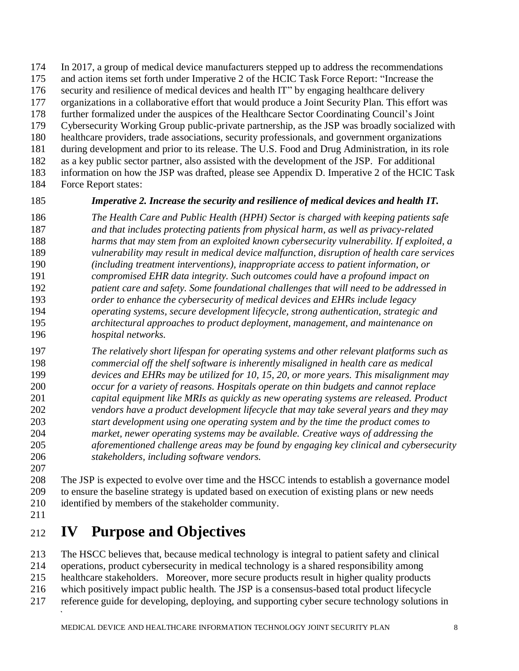In 2017, a group of medical device manufacturers stepped up to address the recommendations

- and action items set forth under Imperative 2 of the HCIC Task Force Report: "Increase the
- security and resilience of medical devices and health IT" by engaging healthcare delivery
- organizations in a collaborative effort that would produce a Joint Security Plan. This effort was
- further formalized under the auspices of the Healthcare Sector Coordinating Council's Joint
- Cybersecurity Working Group public-private partnership, as the JSP was broadly socialized with healthcare providers, trade associations, security professionals, and government organizations
- during development and prior to its release. The U.S. Food and Drug Administration, in its role
- as a key public sector partner, also assisted with the development of the JSP. For additional
- information on how the JSP was drafted, please see Appendix D. Imperative 2 of the HCIC Task
- Force Report states:

### *Imperative 2. Increase the security and resilience of medical devices and health IT.*

- *The Health Care and Public Health (HPH) Sector is charged with keeping patients safe and that includes protecting patients from physical harm, as well as privacy-related harms that may stem from an exploited known cybersecurity vulnerability. If exploited, a vulnerability may result in medical device malfunction, disruption of health care services (including treatment interventions), inappropriate access to patient information, or compromised EHR data integrity. Such outcomes could have a profound impact on patient care and safety. Some foundational challenges that will need to be addressed in order to enhance the cybersecurity of medical devices and EHRs include legacy operating systems, secure development lifecycle, strong authentication, strategic and architectural approaches to product deployment, management, and maintenance on hospital networks.*
- *The relatively short lifespan for operating systems and other relevant platforms such as commercial off the shelf software is inherently misaligned in health care as medical devices and EHRs may be utilized for 10, 15, 20, or more years. This misalignment may occur for a variety of reasons. Hospitals operate on thin budgets and cannot replace capital equipment like MRIs as quickly as new operating systems are released. Product vendors have a product development lifecycle that may take several years and they may start development using one operating system and by the time the product comes to market, newer operating systems may be available. Creative ways of addressing the aforementioned challenge areas may be found by engaging key clinical and cybersecurity stakeholders, including software vendors.*
- 

 The JSP is expected to evolve over time and the HSCC intends to establish a governance model to ensure the baseline strategy is updated based on execution of existing plans or new needs identified by members of the stakeholder community.

# <span id="page-7-0"></span>**IV Purpose and Objectives**

The HSCC believes that, because medical technology is integral to patient safety and clinical

- operations, product cybersecurity in medical technology is a shared responsibility among
- healthcare stakeholders. Moreover, more secure products result in higher quality products
- which positively impact public health. The JSP is a consensus-based total product lifecycle
- reference guide for developing, deploying, and supporting cyber secure technology solutions in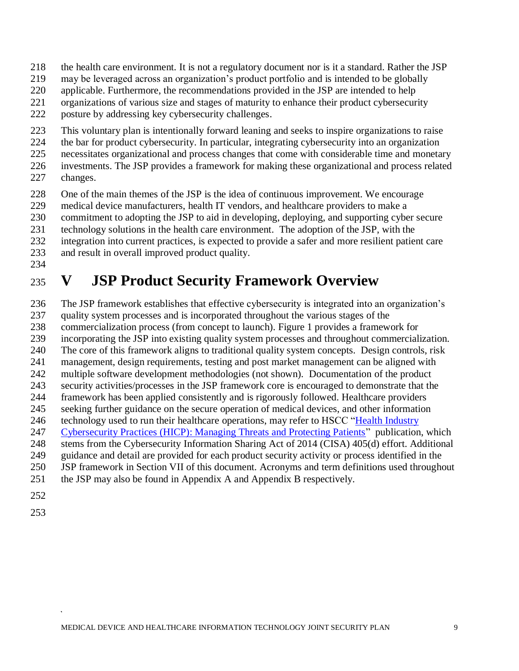- the health care environment. It is not a regulatory document nor is it a standard. Rather the JSP
- may be leveraged across an organization's product portfolio and is intended to be globally
- applicable. Furthermore, the recommendations provided in the JSP are intended to help
- organizations of various size and stages of maturity to enhance their product cybersecurity
- posture by addressing key cybersecurity challenges.
- This voluntary plan is intentionally forward leaning and seeks to inspire organizations to raise
- the bar for product cybersecurity. In particular, integrating cybersecurity into an organization
- necessitates organizational and process changes that come with considerable time and monetary
- investments. The JSP provides a framework for making these organizational and process related changes.
- 228 One of the main themes of the JSP is the idea of continuous improvement. We encourage medical device manufacturers, health IT vendors, and healthcare providers to make a
- medical device manufacturers, health IT vendors, and healthcare providers to make a
- commitment to adopting the JSP to aid in developing, deploying, and supporting cyber secure
- technology solutions in the health care environment. The adoption of the JSP, with the
- integration into current practices, is expected to provide a safer and more resilient patient care
- and result in overall improved product quality.
- 

# <span id="page-8-0"></span>**V JSP Product Security Framework Overview**

- The JSP framework establishes that effective cybersecurity is integrated into an organization's quality system processes and is incorporated throughout the various stages of the commercialization process (from concept to launch). Figure 1 provides a framework for incorporating the JSP into existing quality system processes and throughout commercialization. The core of this framework aligns to traditional quality system concepts. Design controls, risk management, design requirements, testing and post market management can be aligned with multiple software development methodologies (not shown). Documentation of the product security activities/processes in the JSP framework core is encouraged to demonstrate that the framework has been applied consistently and is rigorously followed. Healthcare providers seeking further guidance on the secure operation of medical devices, and other information 246 technology used to run their healthcare operations, may refer to HSCC "Health Industry [Cybersecurity Practices \(HICP\): Managing Threats and Protecting Patients"](https://healthsectorcouncil.org/hhs-and-hscc-release-voluntary-cybersecurity-practices-for-the-health-industry/) publication, which stems from the Cybersecurity Information Sharing Act of 2014 (CISA) 405(d) effort. Additional guidance and detail are provided for each product security activity or process identified in the JSP framework in Section VII of this document. Acronyms and term definitions used throughout the JSP may also be found in Appendix A and Appendix B respectively.
- 
-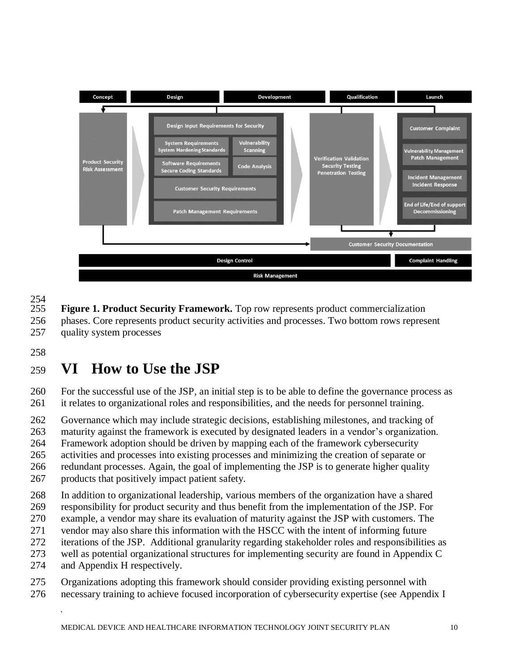

254<br>255 **Figure 1. Product Security Framework.** Top row represents product commercialization

 phases. Core represents product security activities and processes. Two bottom rows represent quality system processes

# <span id="page-9-0"></span>**VI How to Use the JSP**

 For the successful use of the JSP, an initial step is to be able to define the governance process as it relates to organizational roles and responsibilities, and the needs for personnel training.

Governance which may include strategic decisions, establishing milestones, and tracking of

maturity against the framework is executed by designated leaders in a vendor's organization.

Framework adoption should be driven by mapping each of the framework cybersecurity

activities and processes into existing processes and minimizing the creation of separate or

redundant processes. Again, the goal of implementing the JSP is to generate higher quality

products that positively impact patient safety.

In addition to organizational leadership, various members of the organization have a shared

- responsibility for product security and thus benefit from the implementation of the JSP. For
- example, a vendor may share its evaluation of maturity against the JSP with customers. The
- vendor may also share this information with the HSCC with the intent of informing future
- iterations of the JSP. Additional granularity regarding stakeholder roles and responsibilities as
- well as potential organizational structures for implementing security are found in Appendix C
- and Appendix H respectively.
- Organizations adopting this framework should consider providing existing personnel with necessary training to achieve focused incorporation of cybersecurity expertise (see Appendix I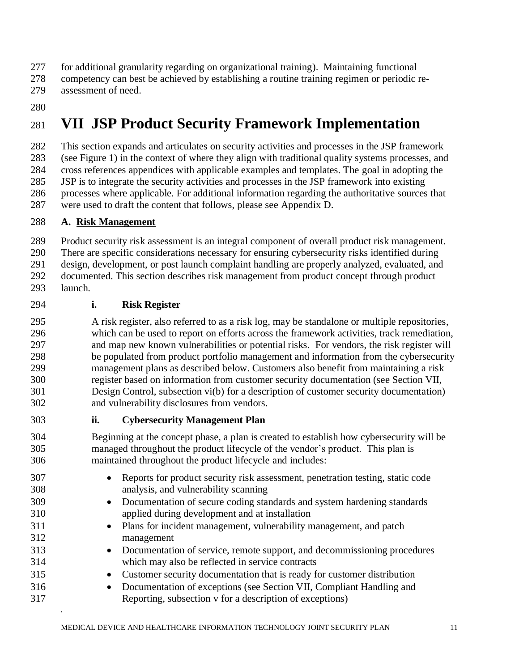- for additional granularity regarding on organizational training). Maintaining functional
- competency can best be achieved by establishing a routine training regimen or periodic re-
- assessment of need.
- 

# <span id="page-10-0"></span>**VII JSP Product Security Framework Implementation**

 This section expands and articulates on security activities and processes in the JSP framework (see Figure 1) in the context of where they align with traditional quality systems processes, and cross references appendices with applicable examples and templates. The goal in adopting the JSP is to integrate the security activities and processes in the JSP framework into existing processes where applicable. For additional information regarding the authoritative sources that were used to draft the content that follows, please see Appendix D.

### **A. Risk Management**

 Product security risk assessment is an integral component of overall product risk management. There are specific considerations necessary for ensuring cybersecurity risks identified during design, development, or post launch complaint handling are properly analyzed, evaluated, and documented. This section describes risk management from product concept through product launch.

### **i. Risk Register**

 A risk register, also referred to as a risk log, may be standalone or multiple repositories, which can be used to report on efforts across the framework activities, track remediation, and map new known vulnerabilities or potential risks. For vendors, the risk register will be populated from product portfolio management and information from the cybersecurity management plans as described below. Customers also benefit from maintaining a risk register based on information from customer security documentation (see Section VII, Design Control, subsection vi(b) for a description of customer security documentation) and vulnerability disclosures from vendors.

- **ii. Cybersecurity Management Plan**
- Beginning at the concept phase, a plan is created to establish how cybersecurity will be managed throughout the product lifecycle of the vendor's product. This plan is maintained throughout the product lifecycle and includes:
- Reports for product security risk assessment, penetration testing, static code analysis, and vulnerability scanning • Documentation of secure coding standards and system hardening standards applied during development and at installation • Plans for incident management, vulnerability management, and patch management • Documentation of service, remote support, and decommissioning procedures which may also be reflected in service contracts • Customer security documentation that is ready for customer distribution • Documentation of exceptions (see Section VII, Compliant Handling and Reporting, subsection v for a description of exceptions)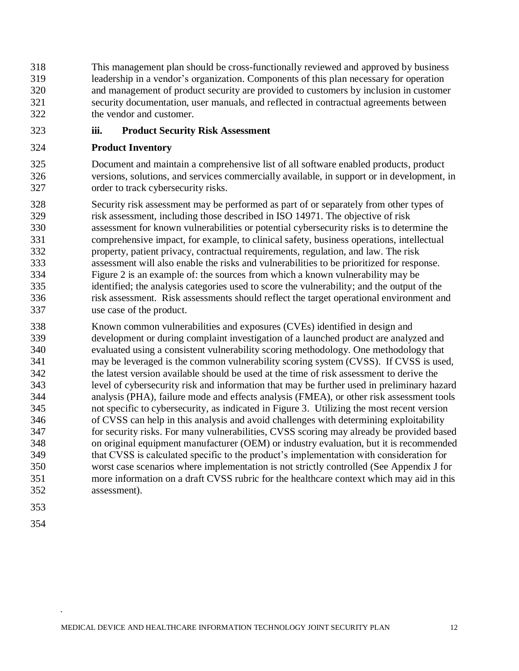This management plan should be cross-functionally reviewed and approved by business leadership in a vendor's organization. Components of this plan necessary for operation and management of product security are provided to customers by inclusion in customer security documentation, user manuals, and reflected in contractual agreements between the vendor and customer.

**iii. Product Security Risk Assessment**

### **Product Inventory**

 Document and maintain a comprehensive list of all software enabled products, product versions, solutions, and services commercially available, in support or in development, in order to track cybersecurity risks.

 Security risk assessment may be performed as part of or separately from other types of risk assessment, including those described in ISO 14971. The objective of risk assessment for known vulnerabilities or potential cybersecurity risks is to determine the comprehensive impact, for example, to clinical safety, business operations, intellectual property, patient privacy, contractual requirements, regulation, and law. The risk assessment will also enable the risks and vulnerabilities to be prioritized for response. Figure 2 is an example of: the sources from which a known vulnerability may be identified; the analysis categories used to score the vulnerability; and the output of the risk assessment. Risk assessments should reflect the target operational environment and use case of the product.

 Known common vulnerabilities and exposures (CVEs) identified in design and development or during complaint investigation of a launched product are analyzed and evaluated using a consistent vulnerability scoring methodology. One methodology that may be leveraged is the common vulnerability scoring system (CVSS). If CVSS is used, the latest version available should be used at the time of risk assessment to derive the level of cybersecurity risk and information that may be further used in preliminary hazard analysis (PHA), failure mode and effects analysis (FMEA), or other risk assessment tools not specific to cybersecurity, as indicated in Figure 3. Utilizing the most recent version of CVSS can help in this analysis and avoid challenges with determining exploitability for security risks. For many vulnerabilities, CVSS scoring may already be provided based on original equipment manufacturer (OEM) or industry evaluation, but it is recommended that CVSS is calculated specific to the product's implementation with consideration for worst case scenarios where implementation is not strictly controlled (See Appendix J for more information on a draft CVSS rubric for the healthcare context which may aid in this assessment).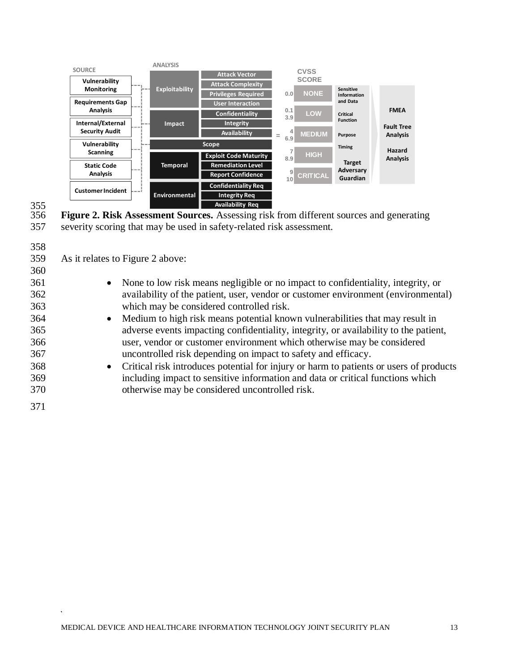

# 355<br>356

356 **Figure 2. Risk Assessment Sources.** Assessing risk from different sources and generating 357 severity scoring that may be used in safety-related risk assessment.

| 358 |                                                                                                     |
|-----|-----------------------------------------------------------------------------------------------------|
| 359 | As it relates to Figure 2 above:                                                                    |
| 360 |                                                                                                     |
| 361 | • None to low risk means negligible or no impact to confidentiality, integrity, or                  |
| 362 | availability of the patient, user, vendor or customer environment (environmental)                   |
| 363 | which may be considered controlled risk.                                                            |
| 364 | Medium to high risk means potential known vulnerabilities that may result in<br>$\bullet$           |
| 365 | adverse events impacting confidentiality, integrity, or availability to the patient,                |
| 366 | user, vendor or customer environment which otherwise may be considered                              |
| 367 | uncontrolled risk depending on impact to safety and efficacy.                                       |
| 368 | Critical risk introduces potential for injury or harm to patients or users of products<br>$\bullet$ |
| 369 | including impact to sensitive information and data or critical functions which                      |
| 370 | otherwise may be considered uncontrolled risk.                                                      |
| 371 |                                                                                                     |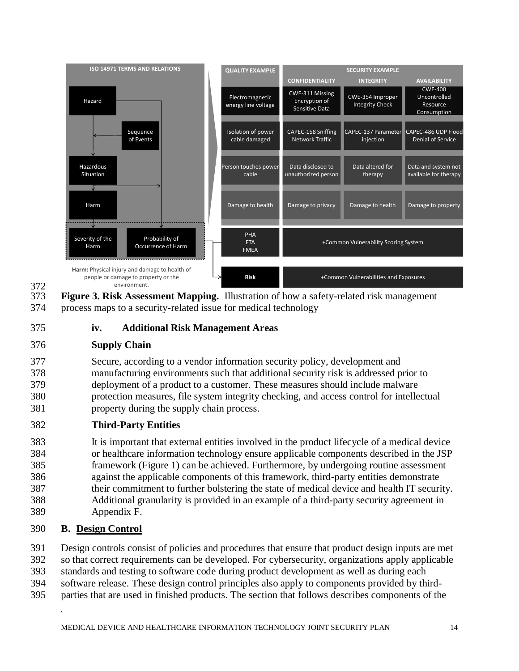

372<br>373 **Figure 3. Risk Assessment Mapping.** Illustration of how a safety-related risk management 374 process maps to a security-related issue for medical technology

375 **iv. Additional Risk Management Areas**

### 376 **Supply Chain**

 Secure, according to a vendor information security policy, development and manufacturing environments such that additional security risk is addressed prior to deployment of a product to a customer. These measures should include malware protection measures, file system integrity checking, and access control for intellectual property during the supply chain process.

### 382 **Third-Party Entities**

 It is important that external entities involved in the product lifecycle of a medical device or healthcare information technology ensure applicable components described in the JSP framework (Figure 1) can be achieved. Furthermore, by undergoing routine assessment against the applicable components of this framework, third-party entities demonstrate their commitment to further bolstering the state of medical device and health IT security. Additional granularity is provided in an example of a third-party security agreement in Appendix F.

### 390 **B. Design Control**

 Design controls consist of policies and procedures that ensure that product design inputs are met so that correct requirements can be developed. For cybersecurity, organizations apply applicable standards and testing to software code during product development as well as during each software release. These design control principles also apply to components provided by third-parties that are used in finished products. The section that follows describes components of the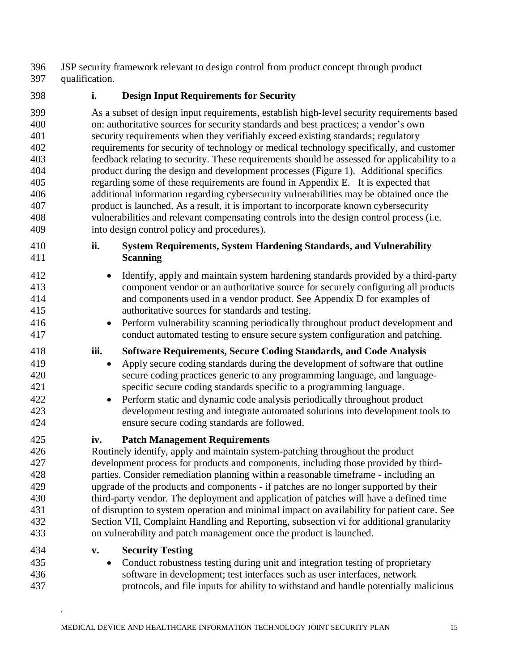JSP security framework relevant to design control from product concept through product qualification.

### **i. Design Input Requirements for Security**

 As a subset of design input requirements, establish high-level security requirements based on: authoritative sources for security standards and best practices; a vendor's own security requirements when they verifiably exceed existing standards; regulatory requirements for security of technology or medical technology specifically, and customer feedback relating to security. These requirements should be assessed for applicability to a product during the design and development processes (Figure 1). Additional specifics regarding some of these requirements are found in Appendix E. It is expected that additional information regarding cybersecurity vulnerabilities may be obtained once the product is launched. As a result, it is important to incorporate known cybersecurity vulnerabilities and relevant compensating controls into the design control process (i.e. into design control policy and procedures).

- **ii. System Requirements, System Hardening Standards, and Vulnerability Scanning**
- <sup>412</sup> Identify, apply and maintain system hardening standards provided by a third-party component vendor or an authoritative source for securely configuring all products and components used in a vendor product. See Appendix D for examples of authoritative sources for standards and testing.
- Perform vulnerability scanning periodically throughout product development and conduct automated testing to ensure secure system configuration and patching.

### **iii. Software Requirements, Secure Coding Standards, and Code Analysis**

- Apply secure coding standards during the development of software that outline secure coding practices generic to any programming language, and language-specific secure coding standards specific to a programming language.
- Perform static and dynamic code analysis periodically throughout product development testing and integrate automated solutions into development tools to ensure secure coding standards are followed.
- 

### **iv. Patch Management Requirements**

 Routinely identify, apply and maintain system-patching throughout the product development process for products and components, including those provided by third- parties. Consider remediation planning within a reasonable timeframe - including an upgrade of the products and components - if patches are no longer supported by their third-party vendor. The deployment and application of patches will have a defined time of disruption to system operation and minimal impact on availability for patient care. See Section VII, Complaint Handling and Reporting, subsection vi for additional granularity on vulnerability and patch management once the product is launched.

- **v. Security Testing**
- Conduct robustness testing during unit and integration testing of proprietary software in development; test interfaces such as user interfaces, network protocols, and file inputs for ability to withstand and handle potentially malicious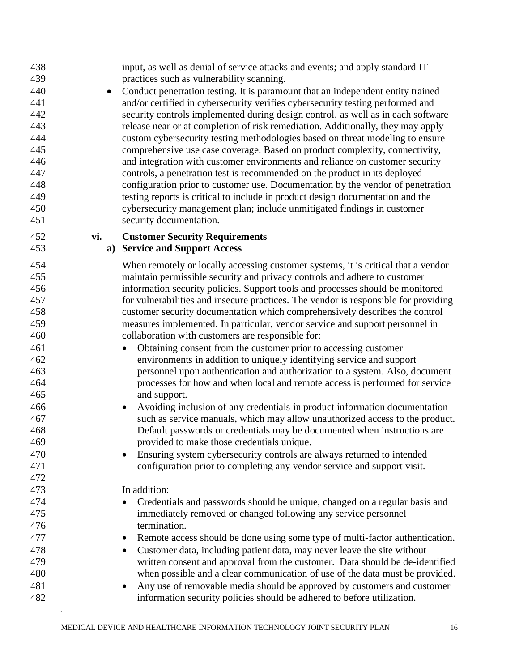practices such as vulnerability scanning. • Conduct penetration testing. It is paramount that an independent entity trained and/or certified in cybersecurity verifies cybersecurity testing performed and security controls implemented during design control, as well as in each software release near or at completion of risk remediation. Additionally, they may apply custom cybersecurity testing methodologies based on threat modeling to ensure comprehensive use case coverage. Based on product complexity, connectivity, and integration with customer environments and reliance on customer security controls, a penetration test is recommended on the product in its deployed configuration prior to customer use. Documentation by the vendor of penetration testing reports is critical to include in product design documentation and the cybersecurity management plan; include unmitigated findings in customer security documentation. **vi. Customer Security Requirements a) Service and Support Access** When remotely or locally accessing customer systems, it is critical that a vendor maintain permissible security and privacy controls and adhere to customer information security policies. Support tools and processes should be monitored for vulnerabilities and insecure practices. The vendor is responsible for providing customer security documentation which comprehensively describes the control measures implemented. In particular, vendor service and support personnel in collaboration with customers are responsible for: • Obtaining consent from the customer prior to accessing customer environments in addition to uniquely identifying service and support personnel upon authentication and authorization to a system. Also, document processes for how and when local and remote access is performed for service and support. • Avoiding inclusion of any credentials in product information documentation such as service manuals, which may allow unauthorized access to the product. Default passwords or credentials may be documented when instructions are provided to make those credentials unique. • Ensuring system cybersecurity controls are always returned to intended configuration prior to completing any vendor service and support visit. In addition: • Credentials and passwords should be unique, changed on a regular basis and immediately removed or changed following any service personnel termination. • Remote access should be done using some type of multi-factor authentication. • Customer data, including patient data, may never leave the site without written consent and approval from the customer. Data should be de-identified when possible and a clear communication of use of the data must be provided. • Any use of removable media should be approved by customers and customer information security policies should be adhered to before utilization.

input, as well as denial of service attacks and events; and apply standard IT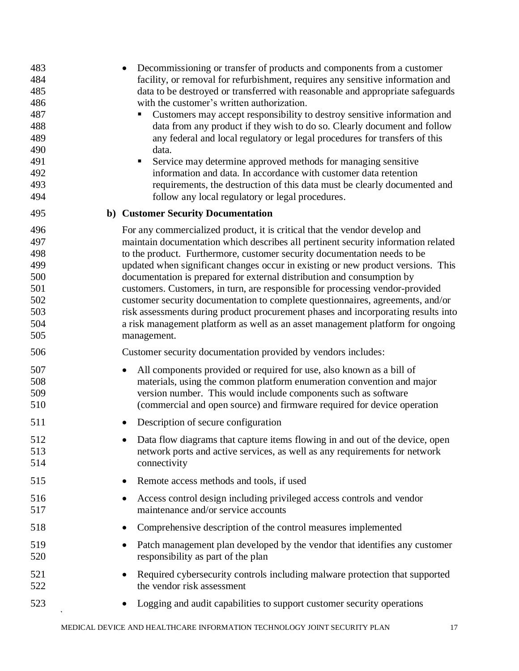| 483<br>484<br>485<br>486<br>487<br>488<br>489<br>490<br>491<br>492<br>493<br>494 | Decommissioning or transfer of products and components from a customer<br>facility, or removal for refurbishment, requires any sensitive information and<br>data to be destroyed or transferred with reasonable and appropriate safeguards<br>with the customer's written authorization.<br>Customers may accept responsibility to destroy sensitive information and<br>data from any product if they wish to do so. Clearly document and follow<br>any federal and local regulatory or legal procedures for transfers of this<br>data.<br>Service may determine approved methods for managing sensitive<br>п<br>information and data. In accordance with customer data retention<br>requirements, the destruction of this data must be clearly documented and<br>follow any local regulatory or legal procedures. |
|----------------------------------------------------------------------------------|--------------------------------------------------------------------------------------------------------------------------------------------------------------------------------------------------------------------------------------------------------------------------------------------------------------------------------------------------------------------------------------------------------------------------------------------------------------------------------------------------------------------------------------------------------------------------------------------------------------------------------------------------------------------------------------------------------------------------------------------------------------------------------------------------------------------|
| 495                                                                              | b) Customer Security Documentation                                                                                                                                                                                                                                                                                                                                                                                                                                                                                                                                                                                                                                                                                                                                                                                 |
| 496<br>497<br>498<br>499<br>500<br>501<br>502<br>503<br>504<br>505               | For any commercialized product, it is critical that the vendor develop and<br>maintain documentation which describes all pertinent security information related<br>to the product. Furthermore, customer security documentation needs to be<br>updated when significant changes occur in existing or new product versions. This<br>documentation is prepared for external distribution and consumption by<br>customers. Customers, in turn, are responsible for processing vendor-provided<br>customer security documentation to complete questionnaires, agreements, and/or<br>risk assessments during product procurement phases and incorporating results into<br>a risk management platform as well as an asset management platform for ongoing<br>management.                                                 |
| 506                                                                              | Customer security documentation provided by vendors includes:                                                                                                                                                                                                                                                                                                                                                                                                                                                                                                                                                                                                                                                                                                                                                      |
| 507<br>508<br>509<br>510                                                         | All components provided or required for use, also known as a bill of<br>$\bullet$<br>materials, using the common platform enumeration convention and major<br>version number. This would include components such as software<br>(commercial and open source) and firmware required for device operation                                                                                                                                                                                                                                                                                                                                                                                                                                                                                                            |
| 511                                                                              | Description of secure configuration                                                                                                                                                                                                                                                                                                                                                                                                                                                                                                                                                                                                                                                                                                                                                                                |
| 512<br>513<br>514                                                                | Data flow diagrams that capture items flowing in and out of the device, open<br>network ports and active services, as well as any requirements for network<br>connectivity                                                                                                                                                                                                                                                                                                                                                                                                                                                                                                                                                                                                                                         |
| 515                                                                              | Remote access methods and tools, if used<br>$\bullet$                                                                                                                                                                                                                                                                                                                                                                                                                                                                                                                                                                                                                                                                                                                                                              |
| 516<br>517                                                                       | Access control design including privileged access controls and vendor<br>$\bullet$<br>maintenance and/or service accounts                                                                                                                                                                                                                                                                                                                                                                                                                                                                                                                                                                                                                                                                                          |
| 518                                                                              | Comprehensive description of the control measures implemented<br>٠                                                                                                                                                                                                                                                                                                                                                                                                                                                                                                                                                                                                                                                                                                                                                 |
| 519<br>520                                                                       | Patch management plan developed by the vendor that identifies any customer<br>$\bullet$<br>responsibility as part of the plan                                                                                                                                                                                                                                                                                                                                                                                                                                                                                                                                                                                                                                                                                      |
| 521<br>522                                                                       | Required cybersecurity controls including malware protection that supported<br>$\bullet$<br>the vendor risk assessment                                                                                                                                                                                                                                                                                                                                                                                                                                                                                                                                                                                                                                                                                             |
| 523                                                                              | Logging and audit capabilities to support customer security operations                                                                                                                                                                                                                                                                                                                                                                                                                                                                                                                                                                                                                                                                                                                                             |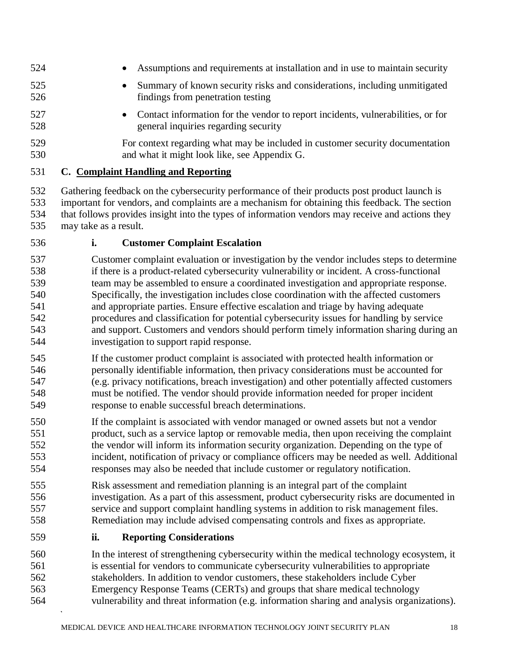- Assumptions and requirements at installation and in use to maintain security
- Summary of known security risks and considerations, including unmitigated findings from penetration testing
- 
- Contact information for the vendor to report incidents, vulnerabilities, or for general inquiries regarding security
- For context regarding what may be included in customer security documentation and what it might look like, see Appendix G.

### **C. Complaint Handling and Reporting**

- Gathering feedback on the cybersecurity performance of their products post product launch is important for vendors, and complaints are a mechanism for obtaining this feedback. The section that follows provides insight into the types of information vendors may receive and actions they may take as a result.
- **i. Customer Complaint Escalation**
- Customer complaint evaluation or investigation by the vendor includes steps to determine if there is a product-related cybersecurity vulnerability or incident. A cross-functional team may be assembled to ensure a coordinated investigation and appropriate response. Specifically, the investigation includes close coordination with the affected customers and appropriate parties. Ensure effective escalation and triage by having adequate procedures and classification for potential cybersecurity issues for handling by service and support. Customers and vendors should perform timely information sharing during an investigation to support rapid response.
- If the customer product complaint is associated with protected health information or personally identifiable information, then privacy considerations must be accounted for (e.g. privacy notifications, breach investigation) and other potentially affected customers must be notified. The vendor should provide information needed for proper incident response to enable successful breach determinations.
- If the complaint is associated with vendor managed or owned assets but not a vendor product, such as a service laptop or removable media, then upon receiving the complaint the vendor will inform its information security organization. Depending on the type of incident, notification of privacy or compliance officers may be needed as well. Additional responses may also be needed that include customer or regulatory notification.
- Risk assessment and remediation planning is an integral part of the complaint investigation. As a part of this assessment, product cybersecurity risks are documented in service and support complaint handling systems in addition to risk management files. Remediation may include advised compensating controls and fixes as appropriate.
- **ii. Reporting Considerations**
- In the interest of strengthening cybersecurity within the medical technology ecosystem, it is essential for vendors to communicate cybersecurity vulnerabilities to appropriate stakeholders. In addition to vendor customers, these stakeholders include Cyber Emergency Response Teams (CERTs) and groups that share medical technology vulnerability and threat information (e.g. information sharing and analysis organizations).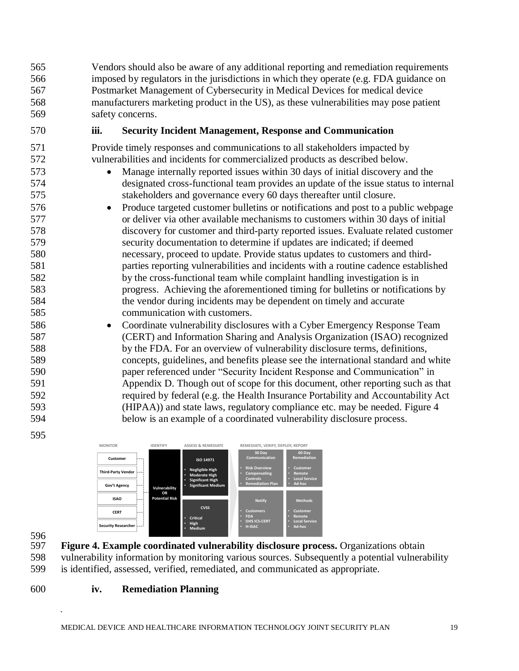Vendors should also be aware of any additional reporting and remediation requirements imposed by regulators in the jurisdictions in which they operate (e.g. FDA guidance on Postmarket Management of Cybersecurity in Medical Devices for medical device manufacturers marketing product in the US), as these vulnerabilities may pose patient safety concerns.

### 570 **iii. Security Incident Management, Response and Communication**

571 Provide timely responses and communications to all stakeholders impacted by 572 vulnerabilities and incidents for commercialized products as described below.

- 573 Manage internally reported issues within 30 days of initial discovery and the 574 designated cross-functional team provides an update of the issue status to internal 575 stakeholders and governance every 60 days thereafter until closure.
- 576 Produce targeted customer bulletins or notifications and post to a public webpage 577 or deliver via other available mechanisms to customers within 30 days of initial 578 discovery for customer and third-party reported issues. Evaluate related customer 579 security documentation to determine if updates are indicated; if deemed 580 necessary, proceed to update. Provide status updates to customers and third-581 parties reporting vulnerabilities and incidents with a routine cadence established 582 by the cross-functional team while complaint handling investigation is in 583 progress. Achieving the aforementioned timing for bulletins or notifications by 584 the vendor during incidents may be dependent on timely and accurate 585 communication with customers.
- 586 Coordinate vulnerability disclosures with a Cyber Emergency Response Team 587 (CERT) and Information Sharing and Analysis Organization (ISAO) recognized 588 by the FDA. For an overview of vulnerability disclosure terms, definitions, 589 concepts, guidelines, and benefits please see the international standard and white 590 paper referenced under "Security Incident Response and Communication" in 591 Appendix D. Though out of scope for this document, other reporting such as that 592 required by federal (e.g. the Health Insurance Portability and Accountability Act 593 (HIPAA)) and state laws, regulatory compliance etc. may be needed. Figure 4 594 below is an example of a coordinated vulnerability disclosure process.



596<br>597

595

597 **Figure 4. Example coordinated vulnerability disclosure process.** Organizations obtain 598 vulnerability information by monitoring various sources. Subsequently a potential vulnerability

- 599 is identified, assessed, verified, remediated, and communicated as appropriate.
- 

### 600 **iv. Remediation Planning**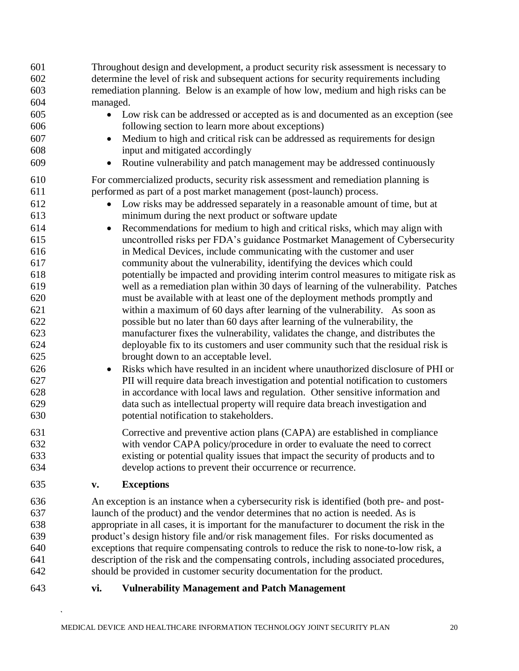| 601 | Throughout design and development, a product security risk assessment is necessary to      |
|-----|--------------------------------------------------------------------------------------------|
| 602 | determine the level of risk and subsequent actions for security requirements including     |
| 603 | remediation planning. Below is an example of how low, medium and high risks can be         |
| 604 | managed.                                                                                   |
| 605 | • Low risk can be addressed or accepted as is and documented as an exception (see          |
| 606 | following section to learn more about exceptions)                                          |
| 607 | Medium to high and critical risk can be addressed as requirements for design<br>$\bullet$  |
| 608 | input and mitigated accordingly                                                            |
| 609 | Routine vulnerability and patch management may be addressed continuously<br>$\bullet$      |
|     |                                                                                            |
| 610 | For commercialized products, security risk assessment and remediation planning is          |
| 611 | performed as part of a post market management (post-launch) process.                       |
| 612 | Low risks may be addressed separately in a reasonable amount of time, but at               |
| 613 | minimum during the next product or software update                                         |
| 614 | Recommendations for medium to high and critical risks, which may align with<br>$\bullet$   |
| 615 | uncontrolled risks per FDA's guidance Postmarket Management of Cybersecurity               |
| 616 | in Medical Devices, include communicating with the customer and user                       |
| 617 | community about the vulnerability, identifying the devices which could                     |
| 618 | potentially be impacted and providing interim control measures to mitigate risk as         |
| 619 | well as a remediation plan within 30 days of learning of the vulnerability. Patches        |
| 620 | must be available with at least one of the deployment methods promptly and                 |
| 621 | within a maximum of 60 days after learning of the vulnerability. As soon as                |
| 622 | possible but no later than 60 days after learning of the vulnerability, the                |
| 623 | manufacturer fixes the vulnerability, validates the change, and distributes the            |
| 624 | deployable fix to its customers and user community such that the residual risk is          |
| 625 | brought down to an acceptable level.                                                       |
| 626 | Risks which have resulted in an incident where unauthorized disclosure of PHI or           |
|     | $\bullet$                                                                                  |
| 627 | PII will require data breach investigation and potential notification to customers         |
| 628 | in accordance with local laws and regulation. Other sensitive information and              |
| 629 | data such as intellectual property will require data breach investigation and              |
| 630 | potential notification to stakeholders.                                                    |
| 631 | Corrective and preventive action plans (CAPA) are established in compliance                |
| 632 | with vendor CAPA policy/procedure in order to evaluate the need to correct                 |
| 633 | existing or potential quality issues that impact the security of products and to           |
| 634 | develop actions to prevent their occurrence or recurrence.                                 |
| 635 | <b>Exceptions</b><br>V.                                                                    |
| 636 | An exception is an instance when a cybersecurity risk is identified (both pre- and post-   |
| 637 | launch of the product) and the vendor determines that no action is needed. As is           |
| 638 |                                                                                            |
| 639 | appropriate in all cases, it is important for the manufacturer to document the risk in the |
|     | product's design history file and/or risk management files. For risks documented as        |
| 640 | exceptions that require compensating controls to reduce the risk to none-to-low risk, a    |
| 641 | description of the risk and the compensating controls, including associated procedures,    |
| 642 | should be provided in customer security documentation for the product.                     |
| 643 | <b>Vulnerability Management and Patch Management</b><br>vi.                                |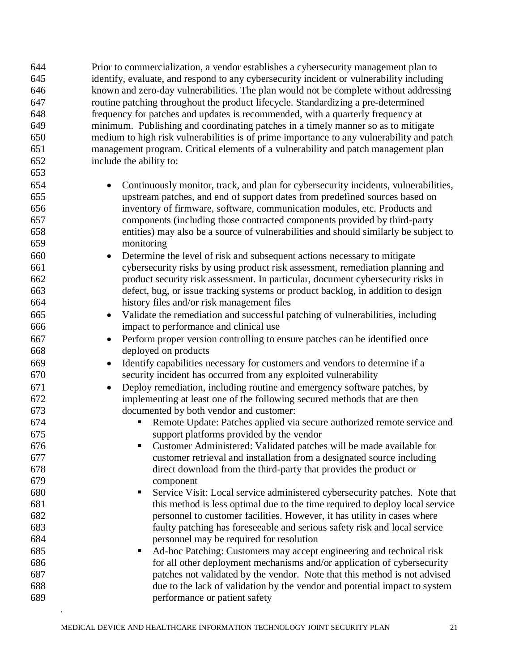| 644        | Prior to commercialization, a vendor establishes a cybersecurity management plan to                                                            |
|------------|------------------------------------------------------------------------------------------------------------------------------------------------|
| 645        | identify, evaluate, and respond to any cybersecurity incident or vulnerability including                                                       |
| 646        | known and zero-day vulnerabilities. The plan would not be complete without addressing                                                          |
| 647        | routine patching throughout the product lifecycle. Standardizing a pre-determined                                                              |
| 648        | frequency for patches and updates is recommended, with a quarterly frequency at                                                                |
| 649        | minimum. Publishing and coordinating patches in a timely manner so as to mitigate                                                              |
| 650        | medium to high risk vulnerabilities is of prime importance to any vulnerability and patch                                                      |
| 651        | management program. Critical elements of a vulnerability and patch management plan                                                             |
| 652        | include the ability to:                                                                                                                        |
| 653        |                                                                                                                                                |
| 654        | Continuously monitor, track, and plan for cybersecurity incidents, vulnerabilities,                                                            |
| 655        | upstream patches, and end of support dates from predefined sources based on                                                                    |
| 656        | inventory of firmware, software, communication modules, etc. Products and                                                                      |
| 657        | components (including those contracted components provided by third-party                                                                      |
| 658        | entities) may also be a source of vulnerabilities and should similarly be subject to                                                           |
| 659        | monitoring                                                                                                                                     |
| 660        | Determine the level of risk and subsequent actions necessary to mitigate                                                                       |
| 661        | cybersecurity risks by using product risk assessment, remediation planning and                                                                 |
| 662        | product security risk assessment. In particular, document cybersecurity risks in                                                               |
| 663        | defect, bug, or issue tracking systems or product backlog, in addition to design                                                               |
| 664        | history files and/or risk management files                                                                                                     |
| 665        | Validate the remediation and successful patching of vulnerabilities, including<br>$\bullet$                                                    |
| 666        | impact to performance and clinical use                                                                                                         |
| 667        | Perform proper version controlling to ensure patches can be identified once                                                                    |
| 668        | deployed on products                                                                                                                           |
|            |                                                                                                                                                |
| 669<br>670 | Identify capabilities necessary for customers and vendors to determine if a<br>security incident has occurred from any exploited vulnerability |
|            |                                                                                                                                                |
| 671        | Deploy remediation, including routine and emergency software patches, by                                                                       |
| 672        | implementing at least one of the following secured methods that are then                                                                       |
| 673        | documented by both vendor and customer:                                                                                                        |
| 674        | Remote Update: Patches applied via secure authorized remote service and<br>П                                                                   |
| 675        | support platforms provided by the vendor                                                                                                       |
| 676        | Customer Administered: Validated patches will be made available for                                                                            |
| 677        | customer retrieval and installation from a designated source including                                                                         |
| 678        | direct download from the third-party that provides the product or                                                                              |
| 679        | component                                                                                                                                      |
| 680        | Service Visit: Local service administered cybersecurity patches. Note that<br>п                                                                |
| 681        | this method is less optimal due to the time required to deploy local service                                                                   |
| 682        | personnel to customer facilities. However, it has utility in cases where                                                                       |
| 683        | faulty patching has foreseeable and serious safety risk and local service                                                                      |
| 684        | personnel may be required for resolution                                                                                                       |
| 685        | Ad-hoc Patching: Customers may accept engineering and technical risk<br>п                                                                      |
| 686        | for all other deployment mechanisms and/or application of cybersecurity                                                                        |
| 687        | patches not validated by the vendor. Note that this method is not advised                                                                      |
| 688        | due to the lack of validation by the vendor and potential impact to system                                                                     |
| 689        | performance or patient safety                                                                                                                  |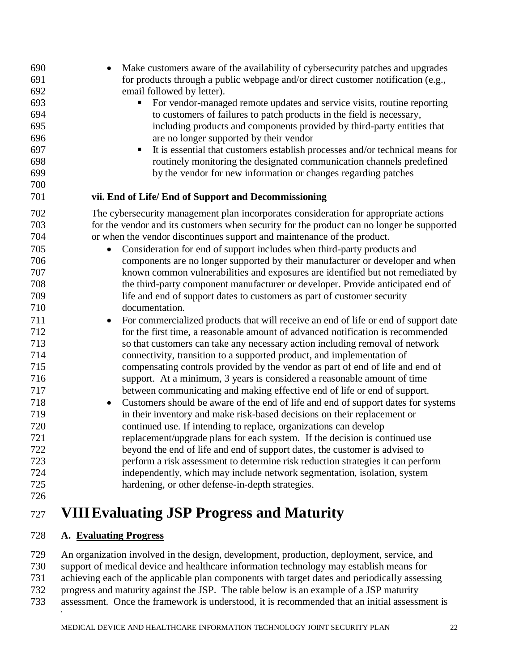| 690 | Make customers aware of the availability of cybersecurity patches and upgrades            |
|-----|-------------------------------------------------------------------------------------------|
| 691 | for products through a public webpage and/or direct customer notification (e.g.,          |
| 692 | email followed by letter).                                                                |
| 693 | For vendor-managed remote updates and service visits, routine reporting<br>п              |
| 694 | to customers of failures to patch products in the field is necessary,                     |
| 695 | including products and components provided by third-party entities that                   |
| 696 | are no longer supported by their vendor                                                   |
| 697 | It is essential that customers establish processes and/or technical means for             |
| 698 | routinely monitoring the designated communication channels predefined                     |
| 699 | by the vendor for new information or changes regarding patches                            |
| 700 |                                                                                           |
| 701 | vii. End of Life/ End of Support and Decommissioning                                      |
| 702 | The cybersecurity management plan incorporates consideration for appropriate actions      |
| 703 | for the vendor and its customers when security for the product can no longer be supported |
| 704 | or when the vendor discontinues support and maintenance of the product.                   |
| 705 | Consideration for end of support includes when third-party products and                   |
| 706 | components are no longer supported by their manufacturer or developer and when            |
| 707 | known common vulnerabilities and exposures are identified but not remediated by           |
| 708 | the third-party component manufacturer or developer. Provide anticipated end of           |
| 709 | life and end of support dates to customers as part of customer security                   |
| 710 | documentation.                                                                            |
| 711 | For commercialized products that will receive an end of life or end of support date       |
| 712 | for the first time, a reasonable amount of advanced notification is recommended           |
| 713 | so that customers can take any necessary action including removal of network              |
| 714 | connectivity, transition to a supported product, and implementation of                    |
| 715 | compensating controls provided by the vendor as part of end of life and end of            |
| 716 | support. At a minimum, 3 years is considered a reasonable amount of time                  |
| 717 | between communicating and making effective end of life or end of support.                 |
| 718 | Customers should be aware of the end of life and end of support dates for systems         |
| 719 | in their inventory and make risk-based decisions on their replacement or                  |
| 720 | continued use. If intending to replace, organizations can develop                         |
| 721 | replacement/upgrade plans for each system. If the decision is continued use               |
| 722 | beyond the end of life and end of support dates, the customer is advised to               |
| 723 | perform a risk assessment to determine risk reduction strategies it can perform           |
| 724 | independently, which may include network segmentation, isolation, system                  |
| 725 | hardening, or other defense-in-depth strategies.                                          |
| 726 |                                                                                           |
| 727 | <b>VIII Evaluating JSP Progress and Maturity</b>                                          |

### <span id="page-21-0"></span>**A. Evaluating Progress**

 An organization involved in the design, development, production, deployment, service, and support of medical device and healthcare information technology may establish means for achieving each of the applicable plan components with target dates and periodically assessing progress and maturity against the JSP. The table below is an example of a JSP maturity assessment. Once the framework is understood, it is recommended that an initial assessment is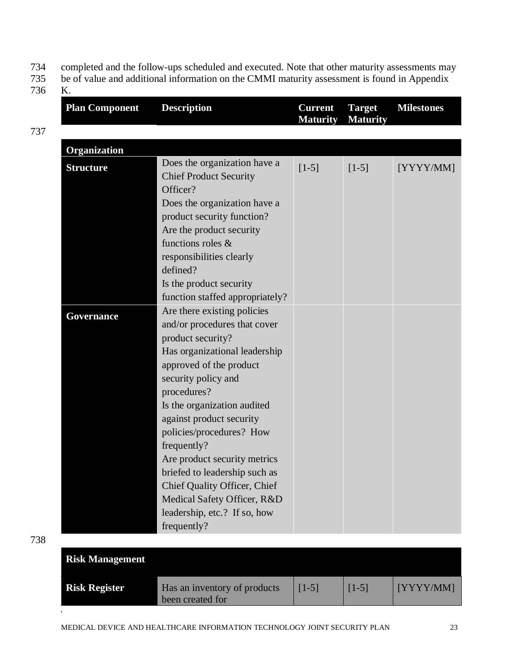- 734 completed and the follow-ups scheduled and executed. Note that other maturity assessments may<br>735 be of value and additional information on the CMMI maturity assessment is found in Appendix
- be of value and additional information on the CMMI maturity assessment is found in Appendix
- 736 K.

737

| <b>Description</b>                                                                                                                                                                                                   | <b>Current</b><br><b>Maturity</b>                                                      | <b>Target</b><br><b>Maturity</b> | <b>Milestones</b> |
|----------------------------------------------------------------------------------------------------------------------------------------------------------------------------------------------------------------------|----------------------------------------------------------------------------------------|----------------------------------|-------------------|
|                                                                                                                                                                                                                      |                                                                                        |                                  |                   |
|                                                                                                                                                                                                                      |                                                                                        |                                  |                   |
| Does the organization have a<br><b>Chief Product Security</b><br>Officer?<br>Does the organization have a<br>product security function?<br>Are the product security<br>functions roles &<br>responsibilities clearly | $[1-5]$                                                                                | $[1-5]$                          | [YYYY/MM]         |
| Is the product security<br>function staffed appropriately?                                                                                                                                                           |                                                                                        |                                  |                   |
| Are there existing policies<br>and/or procedures that cover<br>product security?                                                                                                                                     |                                                                                        |                                  |                   |
| approved of the product<br>security policy and                                                                                                                                                                       |                                                                                        |                                  |                   |
| Is the organization audited<br>against product security<br>policies/procedures? How                                                                                                                                  |                                                                                        |                                  |                   |
| Are product security metrics<br>briefed to leadership such as<br>Chief Quality Officer, Chief<br>Medical Safety Officer, R&D<br>leadership, etc.? If so, how                                                         |                                                                                        |                                  |                   |
|                                                                                                                                                                                                                      | defined?<br>Has organizational leadership<br>procedures?<br>frequently?<br>frequently? |                                  |                   |

 $\ddot{\phantom{a}}$ 

| <b>Risk Management</b> |                                                  |         |         |           |
|------------------------|--------------------------------------------------|---------|---------|-----------|
| <b>Risk Register</b>   | Has an inventory of products<br>been created for | $[1-5]$ | $[1-5]$ | [YYYY/MM] |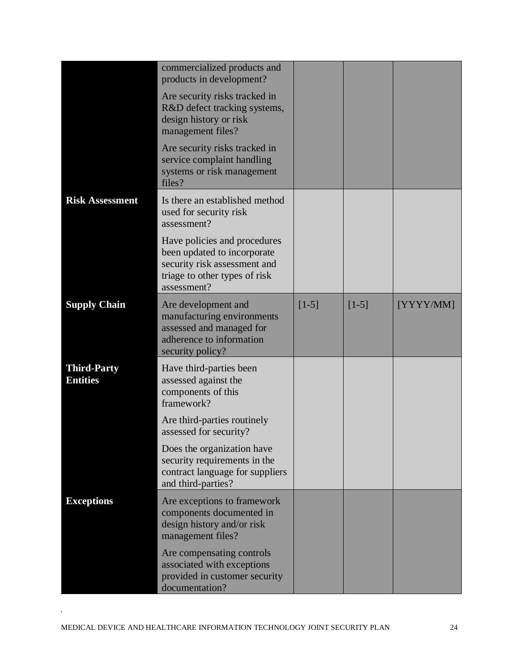|                                       | commercialized products and<br>products in development?                                                                                     |         |         |           |
|---------------------------------------|---------------------------------------------------------------------------------------------------------------------------------------------|---------|---------|-----------|
|                                       | Are security risks tracked in<br>R&D defect tracking systems,<br>design history or risk<br>management files?                                |         |         |           |
|                                       | Are security risks tracked in<br>service complaint handling<br>systems or risk management<br>files?                                         |         |         |           |
| <b>Risk Assessment</b>                | Is there an established method<br>used for security risk<br>assessment?                                                                     |         |         |           |
|                                       | Have policies and procedures<br>been updated to incorporate<br>security risk assessment and<br>triage to other types of risk<br>assessment? |         |         |           |
| <b>Supply Chain</b>                   | Are development and<br>manufacturing environments<br>assessed and managed for<br>adherence to information<br>security policy?               | $[1-5]$ | $[1-5]$ | [YYYY/MM] |
| <b>Third-Party</b><br><b>Entities</b> | Have third-parties been<br>assessed against the<br>components of this<br>framework?                                                         |         |         |           |
|                                       | Are third-parties routinely<br>assessed for security?                                                                                       |         |         |           |
|                                       | Does the organization have<br>security requirements in the<br>contract language for suppliers<br>and third-parties?                         |         |         |           |
| <b>Exceptions</b>                     | Are exceptions to framework<br>components documented in<br>design history and/or risk<br>management files?                                  |         |         |           |
|                                       | Are compensating controls<br>associated with exceptions<br>provided in customer security<br>documentation?                                  |         |         |           |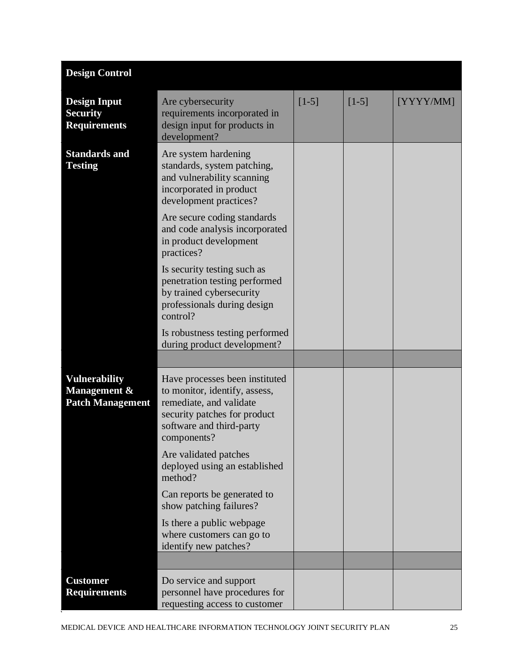| <b>Design Control</b>                                         |                                                                                                                                                                                                                                                 |         |         |           |
|---------------------------------------------------------------|-------------------------------------------------------------------------------------------------------------------------------------------------------------------------------------------------------------------------------------------------|---------|---------|-----------|
| <b>Design Input</b><br><b>Security</b><br><b>Requirements</b> | Are cybersecurity<br>requirements incorporated in<br>design input for products in<br>development?                                                                                                                                               | $[1-5]$ | $[1-5]$ | [YYYY/MM] |
| <b>Standards and</b><br><b>Testing</b>                        | Are system hardening<br>standards, system patching,<br>and vulnerability scanning<br>incorporated in product<br>development practices?<br>Are secure coding standards<br>and code analysis incorporated<br>in product development<br>practices? |         |         |           |
|                                                               | Is security testing such as<br>penetration testing performed<br>by trained cybersecurity<br>professionals during design<br>control?                                                                                                             |         |         |           |
|                                                               | Is robustness testing performed<br>during product development?                                                                                                                                                                                  |         |         |           |
|                                                               |                                                                                                                                                                                                                                                 |         |         |           |
| Vulnerability<br>Management &<br><b>Patch Management</b>      | Have processes been instituted<br>to monitor, identify, assess,<br>remediate, and validate<br>security patches for product<br>software and third-party<br>components?                                                                           |         |         |           |
|                                                               | Are validated patches<br>deployed using an established<br>method?                                                                                                                                                                               |         |         |           |
|                                                               | Can reports be generated to<br>show patching failures?                                                                                                                                                                                          |         |         |           |
|                                                               | Is there a public webpage<br>where customers can go to<br>identify new patches?                                                                                                                                                                 |         |         |           |
|                                                               |                                                                                                                                                                                                                                                 |         |         |           |
| <b>Customer</b><br><b>Requirements</b>                        | Do service and support<br>personnel have procedures for<br>requesting access to customer                                                                                                                                                        |         |         |           |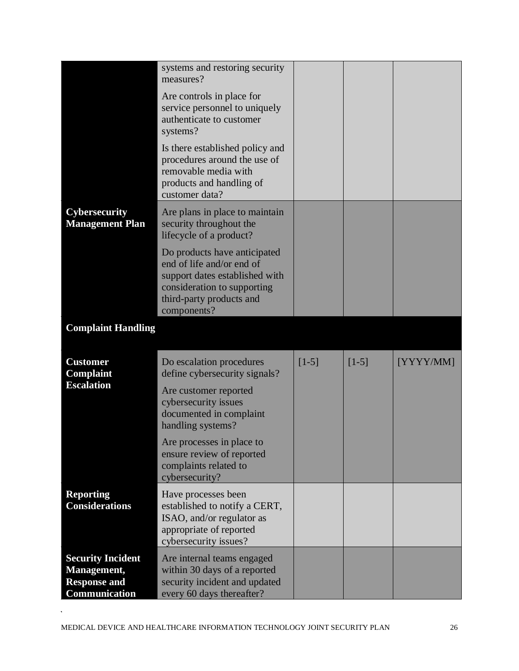|                                                                                        | systems and restoring security<br>measures?                                                                                                                           |         |         |           |
|----------------------------------------------------------------------------------------|-----------------------------------------------------------------------------------------------------------------------------------------------------------------------|---------|---------|-----------|
|                                                                                        | Are controls in place for<br>service personnel to uniquely<br>authenticate to customer<br>systems?                                                                    |         |         |           |
|                                                                                        | Is there established policy and<br>procedures around the use of<br>removable media with<br>products and handling of<br>customer data?                                 |         |         |           |
| <b>Cybersecurity</b><br><b>Management Plan</b>                                         | Are plans in place to maintain<br>security throughout the<br>lifecycle of a product?                                                                                  |         |         |           |
|                                                                                        | Do products have anticipated<br>end of life and/or end of<br>support dates established with<br>consideration to supporting<br>third-party products and<br>components? |         |         |           |
| <b>Complaint Handling</b>                                                              |                                                                                                                                                                       |         |         |           |
| <b>Customer</b><br>Complaint<br><b>Escalation</b>                                      | Do escalation procedures<br>define cybersecurity signals?<br>Are customer reported<br>cybersecurity issues<br>documented in complaint<br>handling systems?            | $[1-5]$ | $[1-5]$ | [YYYY/MM] |
|                                                                                        | Are processes in place to<br>ensure review of reported<br>complaints related to<br>cybersecurity?                                                                     |         |         |           |
| <b>Reporting</b><br><b>Considerations</b>                                              | Have processes been<br>established to notify a CERT,<br>ISAO, and/or regulator as<br>appropriate of reported<br>cybersecurity issues?                                 |         |         |           |
| <b>Security Incident</b><br>Management,<br><b>Response and</b><br><b>Communication</b> | Are internal teams engaged<br>within 30 days of a reported<br>security incident and updated<br>every 60 days thereafter?                                              |         |         |           |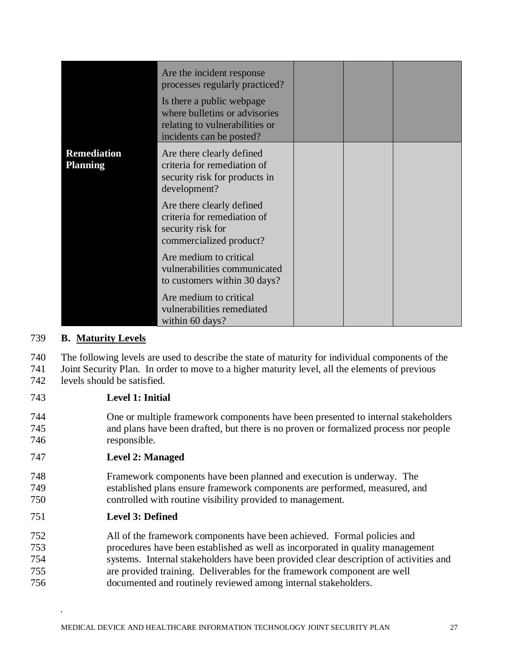|                                       | Are the incident response<br>processes regularly practiced?<br>Is there a public webpage<br>where bulletins or advisories<br>relating to vulnerabilities or<br>incidents can be posted? |  |  |
|---------------------------------------|-----------------------------------------------------------------------------------------------------------------------------------------------------------------------------------------|--|--|
| <b>Remediation</b><br><b>Planning</b> | Are there clearly defined<br>criteria for remediation of<br>security risk for products in<br>development?                                                                               |  |  |
|                                       | Are there clearly defined<br>criteria for remediation of<br>security risk for<br>commercialized product?                                                                                |  |  |
|                                       | Are medium to critical<br>vulnerabilities communicated<br>to customers within 30 days?                                                                                                  |  |  |
|                                       | Are medium to critical<br>vulnerabilities remediated<br>within 60 days?                                                                                                                 |  |  |

### 739 **B. Maturity Levels**

- 740 The following levels are used to describe the state of maturity for individual components of the
- 741 Joint Security Plan. In order to move to a higher maturity level, all the elements of previous
- 742 levels should be satisfied.
- 743 **Level 1: Initial**
- 744 One or multiple framework components have been presented to internal stakeholders 745 and plans have been drafted, but there is no proven or formalized process nor people 746 responsible.

#### 747 **Level 2: Managed**

- 748 Framework components have been planned and execution is underway. The 749 established plans ensure framework components are performed, measured, and 750 controlled with routine visibility provided to management.
- 751 **Level 3: Defined**
- 752 All of the framework components have been achieved. Formal policies and 753 procedures have been established as well as incorporated in quality management 754 systems. Internal stakeholders have been provided clear description of activities and 755 are provided training. Deliverables for the framework component are well 756 documented and routinely reviewed among internal stakeholders.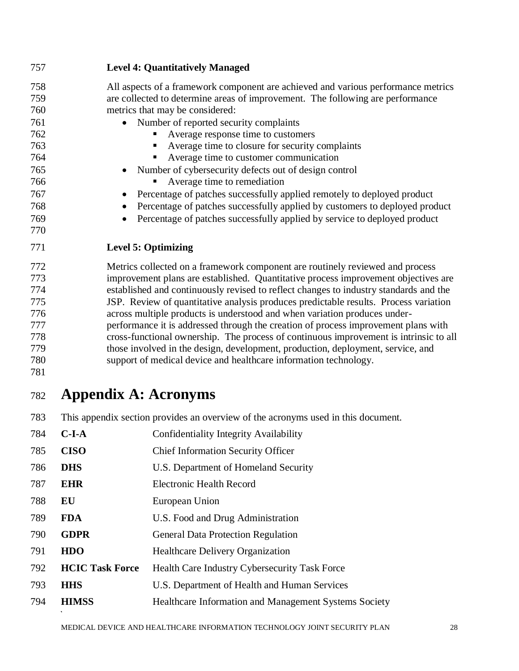| 757                                                                                     | <b>Level 4: Quantitatively Managed</b>                                                                                                                                                                                                                                                                                                                                                                                                                                                                                                                                                                                                                                                                                                                                  |
|-----------------------------------------------------------------------------------------|-------------------------------------------------------------------------------------------------------------------------------------------------------------------------------------------------------------------------------------------------------------------------------------------------------------------------------------------------------------------------------------------------------------------------------------------------------------------------------------------------------------------------------------------------------------------------------------------------------------------------------------------------------------------------------------------------------------------------------------------------------------------------|
| 758<br>759<br>760<br>761<br>762<br>763<br>764<br>765<br>766<br>767<br>768<br>769<br>770 | All aspects of a framework component are achieved and various performance metrics<br>are collected to determine areas of improvement. The following are performance<br>metrics that may be considered:<br>Number of reported security complaints<br>Average response time to customers<br>Average time to closure for security complaints<br>٠<br>Average time to customer communication<br>Number of cybersecurity defects out of design control<br>Average time to remediation<br>Percentage of patches successfully applied remotely to deployed product<br>Percentage of patches successfully applied by customers to deployed product<br>Percentage of patches successfully applied by service to deployed product                                                 |
| 771                                                                                     | <b>Level 5: Optimizing</b>                                                                                                                                                                                                                                                                                                                                                                                                                                                                                                                                                                                                                                                                                                                                              |
| 772<br>773<br>774<br>775<br>776<br>777<br>778<br>779<br>780<br>781                      | Metrics collected on a framework component are routinely reviewed and process<br>improvement plans are established. Quantitative process improvement objectives are<br>established and continuously revised to reflect changes to industry standards and the<br>JSP. Review of quantitative analysis produces predictable results. Process variation<br>across multiple products is understood and when variation produces under-<br>performance it is addressed through the creation of process improvement plans with<br>cross-functional ownership. The process of continuous improvement is intrinsic to all<br>those involved in the design, development, production, deployment, service, and<br>support of medical device and healthcare information technology. |
| 782                                                                                     | <b>Appendix A: Acronyms</b>                                                                                                                                                                                                                                                                                                                                                                                                                                                                                                                                                                                                                                                                                                                                             |
| 783                                                                                     | This appendix section provides an overview of the acronyms used in this document.                                                                                                                                                                                                                                                                                                                                                                                                                                                                                                                                                                                                                                                                                       |

<span id="page-27-0"></span>

| 784 | $C-I-A$                | Confidentiality Integrity Availability                |
|-----|------------------------|-------------------------------------------------------|
| 785 | <b>CISO</b>            | <b>Chief Information Security Officer</b>             |
| 786 | <b>DHS</b>             | U.S. Department of Homeland Security                  |
| 787 | <b>EHR</b>             | <b>Electronic Health Record</b>                       |
| 788 | EU                     | European Union                                        |
| 789 | <b>FDA</b>             | U.S. Food and Drug Administration                     |
| 790 | <b>GDPR</b>            | <b>General Data Protection Regulation</b>             |
| 791 | <b>HDO</b>             | <b>Healthcare Delivery Organization</b>               |
| 792 | <b>HCIC Task Force</b> | Health Care Industry Cybersecurity Task Force         |
| 793 | <b>HHS</b>             | U.S. Department of Health and Human Services          |
| 794 | <b>HIMSS</b>           | Healthcare Information and Management Systems Society |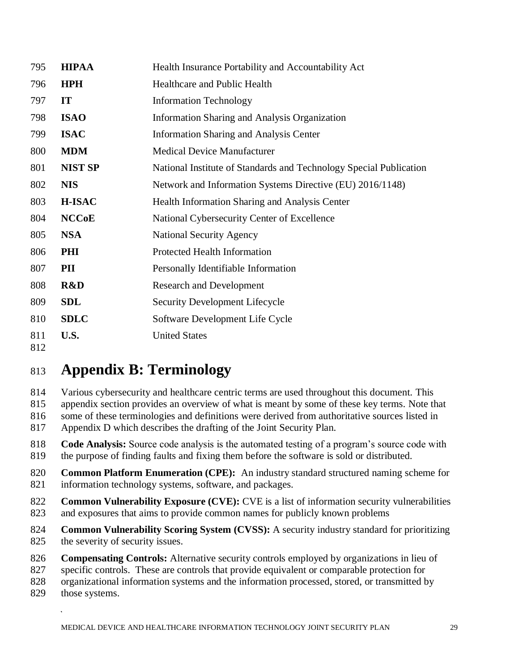| 795        | <b>HIPAA</b>   | Health Insurance Portability and Accountability Act                |
|------------|----------------|--------------------------------------------------------------------|
| 796        | <b>HPH</b>     | Healthcare and Public Health                                       |
| 797        | IT             | <b>Information Technology</b>                                      |
| 798        | <b>ISAO</b>    | <b>Information Sharing and Analysis Organization</b>               |
| 799        | <b>ISAC</b>    | <b>Information Sharing and Analysis Center</b>                     |
| 800        | <b>MDM</b>     | <b>Medical Device Manufacturer</b>                                 |
| 801        | <b>NIST SP</b> | National Institute of Standards and Technology Special Publication |
| 802        | <b>NIS</b>     | Network and Information Systems Directive (EU) 2016/1148)          |
| 803        | <b>H-ISAC</b>  | Health Information Sharing and Analysis Center                     |
| 804        | <b>NCCoE</b>   | National Cybersecurity Center of Excellence                        |
| 805        | <b>NSA</b>     | <b>National Security Agency</b>                                    |
| 806        | PHI            | <b>Protected Health Information</b>                                |
| 807        | PII            | Personally Identifiable Information                                |
| 808        | R&D            | <b>Research and Development</b>                                    |
| 809        | <b>SDL</b>     | Security Development Lifecycle                                     |
| 810        | <b>SDLC</b>    | Software Development Life Cycle                                    |
| 811<br>812 | U.S.           | <b>United States</b>                                               |

# <span id="page-28-0"></span>**Appendix B: Terminology**

Various cybersecurity and healthcare centric terms are used throughout this document. This

appendix section provides an overview of what is meant by some of these key terms. Note that

 some of these terminologies and definitions were derived from authoritative sources listed in Appendix D which describes the drafting of the Joint Security Plan.

 **Code Analysis:** Source code analysis is the automated testing of a program's source code with the purpose of finding faults and fixing them before the software is sold or distributed.

 **Common Platform Enumeration (CPE):** An industry standard structured naming scheme for information technology systems, software, and packages.

 **Common Vulnerability Exposure (CVE):** CVE is a list of information security vulnerabilities and exposures that aims to provide common names for publicly known problems

 **Common Vulnerability Scoring System (CVSS):** A security industry standard for prioritizing 825 the severity of security issues.

**Compensating Controls:** Alternative security controls employed by organizations in lieu of

specific controls. These are controls that provide equivalent or comparable protection for

organizational information systems and the information processed, stored, or transmitted by

those systems.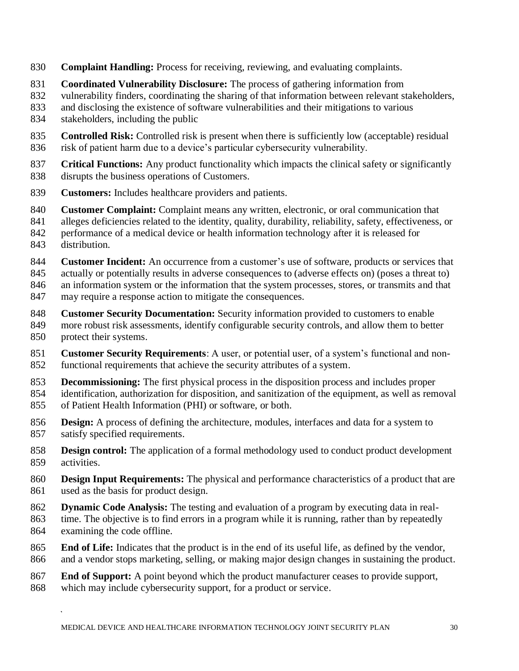- **Complaint Handling:** Process for receiving, reviewing, and evaluating complaints.
- **Coordinated Vulnerability Disclosure:** The process of gathering information from
- vulnerability finders, coordinating the sharing of that information between relevant stakeholders,
- and disclosing the existence of software vulnerabilities and their mitigations to various
- stakeholders, including the public
- **Controlled Risk:** Controlled risk is present when there is sufficiently low (acceptable) residual risk of patient harm due to a device's particular cybersecurity vulnerability.
- **Critical Functions:** Any product functionality which impacts the clinical safety or significantly disrupts the business operations of Customers.
- **Customers:** Includes healthcare providers and patients.
- **Customer Complaint:** Complaint means any written, electronic, or oral communication that
- alleges deficiencies related to the identity, quality, durability, reliability, safety, effectiveness, or
- performance of a medical device or health information technology after it is released for distribution.
- 
- **Customer Incident:** An occurrence from a customer's use of software, products or services that
- actually or potentially results in adverse consequences to (adverse effects on) (poses a threat to)
- an information system or the information that the system processes, stores, or transmits and that
- may require a response action to mitigate the consequences.
- **Customer Security Documentation:** Security information provided to customers to enable
- more robust risk assessments, identify configurable security controls, and allow them to better protect their systems.
- **Customer Security Requirements**: A user, or potential user, of a system's functional and non-functional requirements that achieve the security attributes of a system.
- **Decommissioning:** The first physical process in the disposition process and includes proper
- identification, authorization for disposition, and sanitization of the equipment, as well as removal of Patient Health Information (PHI) or software, or both.
- **Design:** A process of defining the architecture, modules, interfaces and data for a system to satisfy specified requirements.
- **Design control:** The application of a formal methodology used to conduct product development activities.
- **Design Input Requirements:** The physical and performance characteristics of a product that are used as the basis for product design.
- **Dynamic Code Analysis:** The testing and evaluation of a program by executing data in real-
- time. The objective is to find errors in a program while it is running, rather than by repeatedly examining the code offline.
- **End of Life:** Indicates that the product is in the end of its useful life, as defined by the vendor,
- and a vendor stops marketing, selling, or making major design changes in sustaining the product.
- **End of Support:** A point beyond which the product manufacturer ceases to provide support, which may include cybersecurity support, for a product or service.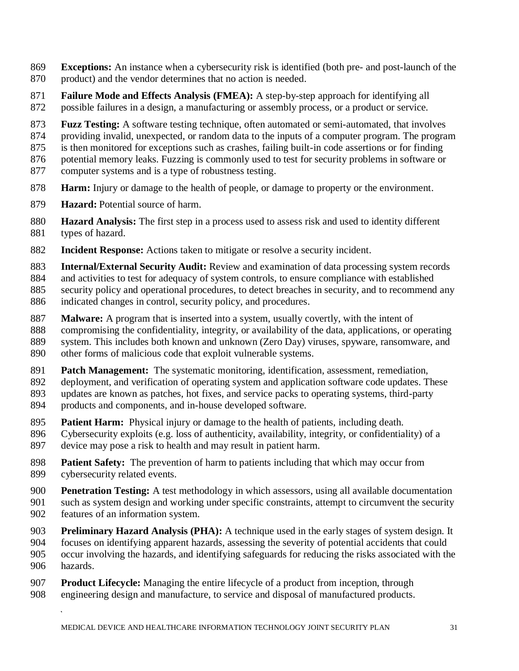- **Exceptions:** An instance when a cybersecurity risk is identified (both pre- and post-launch of the product) and the vendor determines that no action is needed.
- **Failure Mode and Effects Analysis (FMEA):** A step-by-step approach for identifying all
- possible failures in a design, a manufacturing or assembly process, or a product or service.
- **Fuzz Testing:** A software testing technique, often automated or semi-automated, that involves
- providing invalid, unexpected, or random data to the inputs of a computer program. The program
- is then monitored for exceptions such as crashes, failing built-in code assertions or for finding
- potential memory leaks. Fuzzing is commonly used to test for security problems in software or
- computer systems and is a type of robustness testing.
- **Harm:** Injury or damage to the health of people, or damage to property or the environment.
- **Hazard:** Potential source of harm.
- **Hazard Analysis:** The first step in a process used to assess risk and used to identity different types of hazard.
- **Incident Response:** Actions taken to mitigate or resolve a security incident.
- **Internal/External Security Audit:** Review and examination of data processing system records
- and activities to test for adequacy of system controls, to ensure compliance with established
- security policy and operational procedures, to detect breaches in security, and to recommend any
- indicated changes in control, security policy, and procedures.
- **Malware:** A program that is inserted into a system, usually covertly, with the intent of
- compromising the confidentiality, integrity, or availability of the data, applications, or operating
- system. This includes both known and unknown (Zero Day) viruses, spyware, ransomware, and
- other forms of malicious code that exploit vulnerable systems.
- **Patch Management:** The systematic monitoring, identification, assessment, remediation,
- deployment, and verification of operating system and application software code updates. These
- updates are known as patches, hot fixes, and service packs to operating systems, third-party
- products and components, and in-house developed software.
- **Patient Harm:** Physical injury or damage to the health of patients, including death.
- Cybersecurity exploits (e.g. loss of authenticity, availability, integrity, or confidentiality) of a
- device may pose a risk to health and may result in patient harm.
- **Patient Safety:** The prevention of harm to patients including that which may occur from cybersecurity related events.
- **Penetration Testing:** A test methodology in which assessors, using all available documentation such as system design and working under specific constraints, attempt to circumvent the security features of an information system.
- **Preliminary Hazard Analysis (PHA):** A technique used in the early stages of system design. It focuses on identifying apparent hazards, assessing the severity of potential accidents that could
- occur involving the hazards, and identifying safeguards for reducing the risks associated with the hazards.
- **Product Lifecycle:** Managing the entire lifecycle of a product from inception, through engineering design and manufacture, to service and disposal of manufactured products.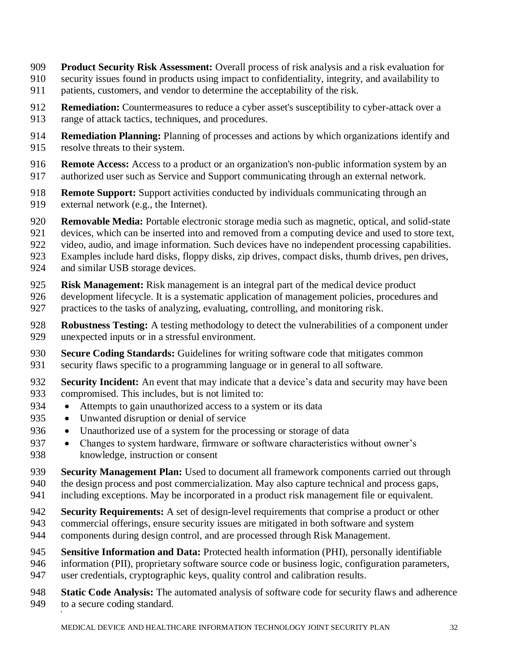- **Product Security Risk Assessment:** Overall process of risk analysis and a risk evaluation for
- security issues found in products using impact to confidentiality, integrity, and availability to
- patients, customers, and vendor to determine the acceptability of the risk.
- **Remediation:** Countermeasures to reduce a cyber asset's susceptibility to cyber-attack over a
- range of attack tactics, techniques, and procedures.
- **Remediation Planning:** Planning of processes and actions by which organizations identify and resolve threats to their system.
- **Remote Access:** Access to a product or an organization's non-public information system by an
- authorized user such as Service and Support communicating through an external network.
- **Remote Support:** Support activities conducted by individuals communicating through an 919 external network (e.g., the Internet).
- **Removable Media:** Portable electronic storage media such as magnetic, optical, and solid-state
- devices, which can be inserted into and removed from a computing device and used to store text,
- video, audio, and image information. Such devices have no independent processing capabilities.
- Examples include hard disks, floppy disks, zip drives, compact disks, thumb drives, pen drives,
- and similar USB storage devices.
- **Risk Management:** Risk management is an integral part of the medical device product
- development lifecycle. It is a systematic application of management policies, procedures and practices to the tasks of analyzing, evaluating, controlling, and monitoring risk.
- **Robustness Testing:** A testing methodology to detect the vulnerabilities of a component under unexpected inputs or in a stressful environment.
- **Secure Coding Standards:** Guidelines for writing software code that mitigates common security flaws specific to a programming language or in general to all software.
- **Security Incident:** An event that may indicate that a device's data and security may have been compromised. This includes, but is not limited to:
- Attempts to gain unauthorized access to a system or its data
- Unwanted disruption or denial of service
- Unauthorized use of a system for the processing or storage of data
- Changes to system hardware, firmware or software characteristics without owner's knowledge, instruction or consent
- **Security Management Plan:** Used to document all framework components carried out through
- the design process and post commercialization. May also capture technical and process gaps, including exceptions. May be incorporated in a product risk management file or equivalent.
- 
- **Security Requirements:** A set of design-level requirements that comprise a product or other
- commercial offerings, ensure security issues are mitigated in both software and system components during design control, and are processed through Risk Management.
- 
- **Sensitive Information and Data:** Protected health information (PHI), personally identifiable
- information (PII), proprietary software source code or business logic, configuration parameters, user credentials, cryptographic keys, quality control and calibration results.
- **Static Code Analysis:** The automated analysis of software code for security flaws and adherence to a secure coding standard.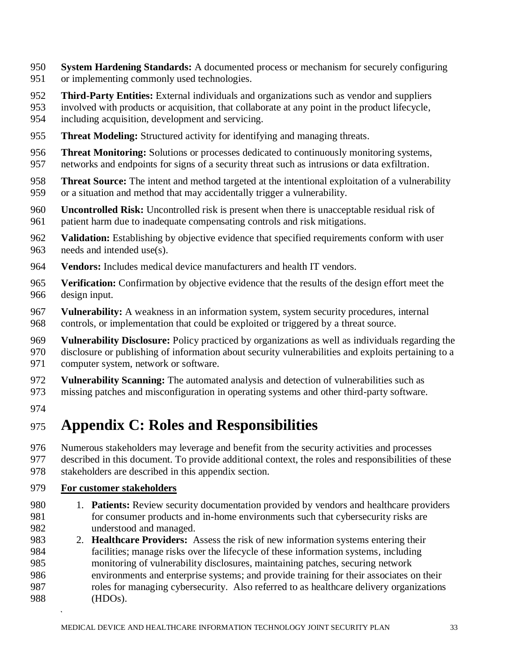- **System Hardening Standards:** A documented process or mechanism for securely configuring or implementing commonly used technologies.
- **Third-Party Entities:** External individuals and organizations such as vendor and suppliers
- involved with products or acquisition, that collaborate at any point in the product lifecycle,
- including acquisition, development and servicing.
- **Threat Modeling:** Structured activity for identifying and managing threats.
- **Threat Monitoring:** Solutions or processes dedicated to continuously monitoring systems,
- networks and endpoints for signs of a security threat such as intrusions or data exfiltration.
- **Threat Source:** The intent and method targeted at the intentional exploitation of a vulnerability or a situation and method that may accidentally trigger a vulnerability.
- **Uncontrolled Risk:** Uncontrolled risk is present when there is unacceptable residual risk of patient harm due to inadequate compensating controls and risk mitigations.
- **Validation:** Establishing by objective evidence that specified requirements conform with user needs and intended use(s).
- **Vendors:** Includes medical device manufacturers and health IT vendors.
- **Verification:** Confirmation by objective evidence that the results of the design effort meet the design input.
- **Vulnerability:** A weakness in an information system, system security procedures, internal controls, or implementation that could be exploited or triggered by a threat source.
- **Vulnerability Disclosure:** Policy practiced by organizations as well as individuals regarding the disclosure or publishing of information about security vulnerabilities and exploits pertaining to a computer system, network or software.
- **Vulnerability Scanning:** The automated analysis and detection of vulnerabilities such as
- missing patches and misconfiguration in operating systems and other third-party software.
- 

# <span id="page-32-0"></span>**Appendix C: Roles and Responsibilities**

- Numerous stakeholders may leverage and benefit from the security activities and processes described in this document. To provide additional context, the roles and responsibilities of these stakeholders are described in this appendix section.
- 

### **For customer stakeholders**

- 1. **Patients:** Review security documentation provided by vendors and healthcare providers for consumer products and in-home environments such that cybersecurity risks are understood and managed.
- 2. **Healthcare Providers:** Assess the risk of new information systems entering their facilities; manage risks over the lifecycle of these information systems, including monitoring of vulnerability disclosures, maintaining patches, securing network environments and enterprise systems; and provide training for their associates on their roles for managing cybersecurity. Also referred to as healthcare delivery organizations (HDOs).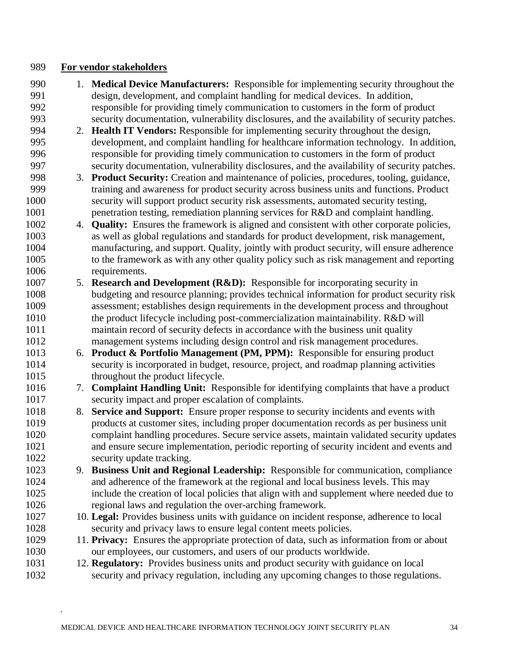### **For vendor stakeholders**

- 1. **Medical Device Manufacturers:** Responsible for implementing security throughout the design, development, and complaint handling for medical devices. In addition, responsible for providing timely communication to customers in the form of product security documentation, vulnerability disclosures, and the availability of security patches.
- 2. **Health IT Vendors:** Responsible for implementing security throughout the design, development, and complaint handling for healthcare information technology. In addition, responsible for providing timely communication to customers in the form of product security documentation, vulnerability disclosures, and the availability of security patches.
- 3. **Product Security:** Creation and maintenance of policies, procedures, tooling, guidance, training and awareness for product security across business units and functions. Product security will support product security risk assessments, automated security testing, 1001 penetration testing, remediation planning services for R&D and complaint handling.
- 4. **Quality:** Ensures the framework is aligned and consistent with other corporate policies, as well as global regulations and standards for product development, risk management, manufacturing, and support. Quality, jointly with product security, will ensure adherence to the framework as with any other quality policy such as risk management and reporting requirements.
- 5. **Research and Development (R&D):** Responsible for incorporating security in budgeting and resource planning; provides technical information for product security risk assessment; establishes design requirements in the development process and throughout the product lifecycle including post-commercialization maintainability. R&D will maintain record of security defects in accordance with the business unit quality management systems including design control and risk management procedures.
- 6. **Product & Portfolio Management (PM, PPM):** Responsible for ensuring product security is incorporated in budget, resource, project, and roadmap planning activities 1015 throughout the product lifecycle.
- 7. **Complaint Handling Unit:** Responsible for identifying complaints that have a product security impact and proper escalation of complaints.
- 8. **Service and Support:** Ensure proper response to security incidents and events with products at customer sites, including proper documentation records as per business unit complaint handling procedures. Secure service assets, maintain validated security updates and ensure secure implementation, periodic reporting of security incident and events and security update tracking.
- 9. **Business Unit and Regional Leadership:** Responsible for communication, compliance and adherence of the framework at the regional and local business levels. This may include the creation of local policies that align with and supplement where needed due to regional laws and regulation the over-arching framework.
- 10. **Legal:** Provides business units with guidance on incident response, adherence to local security and privacy laws to ensure legal content meets policies.
- 11. **Privacy:** Ensures the appropriate protection of data, such as information from or about our employees, our customers, and users of our products worldwide.
- 12. **Regulatory:** Provides business units and product security with guidance on local security and privacy regulation, including any upcoming changes to those regulations.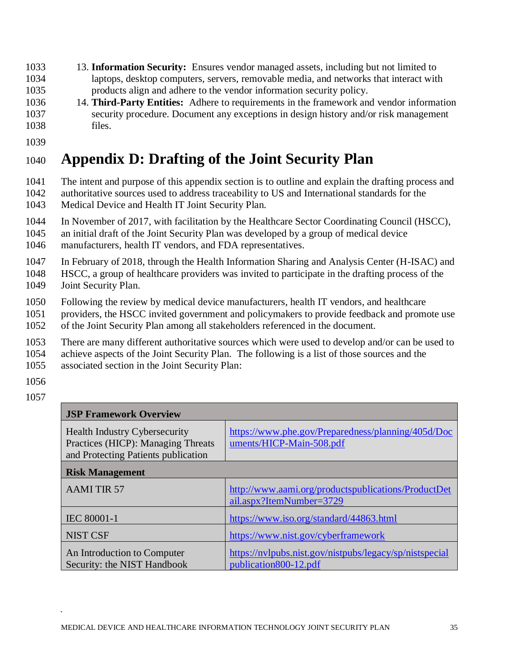- 13. **Information Security:** Ensures vendor managed assets, including but not limited to laptops, desktop computers, servers, removable media, and networks that interact with products align and adhere to the vendor information security policy.
- 14. **Third-Party Entities:** Adhere to requirements in the framework and vendor information security procedure. Document any exceptions in design history and/or risk management files.
- 

# <span id="page-34-0"></span>**Appendix D: Drafting of the Joint Security Plan**

- The intent and purpose of this appendix section is to outline and explain the drafting process and
- authoritative sources used to address traceability to US and International standards for the Medical Device and Health IT Joint Security Plan.
- In November of 2017, with facilitation by the Healthcare Sector Coordinating Council (HSCC),
- an initial draft of the Joint Security Plan was developed by a group of medical device
- manufacturers, health IT vendors, and FDA representatives.
- In February of 2018, through the Health Information Sharing and Analysis Center (H-ISAC) and
- HSCC, a group of healthcare providers was invited to participate in the drafting process of the
- Joint Security Plan.
- Following the review by medical device manufacturers, health IT vendors, and healthcare
- providers, the HSCC invited government and policymakers to provide feedback and promote use
- of the Joint Security Plan among all stakeholders referenced in the document.
- There are many different authoritative sources which were used to develop and/or can be used to
- achieve aspects of the Joint Security Plan. The following is a list of those sources and the
- associated section in the Joint Security Plan:
- 
- 

| <b>JSP Framework Overview</b>                                                                                     |                                                                                  |
|-------------------------------------------------------------------------------------------------------------------|----------------------------------------------------------------------------------|
| <b>Health Industry Cybersecurity</b><br>Practices (HICP): Managing Threats<br>and Protecting Patients publication | https://www.phe.gov/Preparedness/planning/405d/Doc<br>uments/HICP-Main-508.pdf   |
| <b>Risk Management</b>                                                                                            |                                                                                  |
| <b>AAMI TIR 57</b>                                                                                                | http://www.aami.org/productspublications/ProductDet<br>ail.aspx?ItemNumber=3729  |
| <b>IEC 80001-1</b>                                                                                                | https://www.iso.org/standard/44863.html                                          |
| <b>NIST CSF</b>                                                                                                   | https://www.nist.gov/cyberframework                                              |
| An Introduction to Computer<br>Security: the NIST Handbook                                                        | https://nvlpubs.nist.gov/nistpubs/legacy/sp/nistspecial<br>publication800-12.pdf |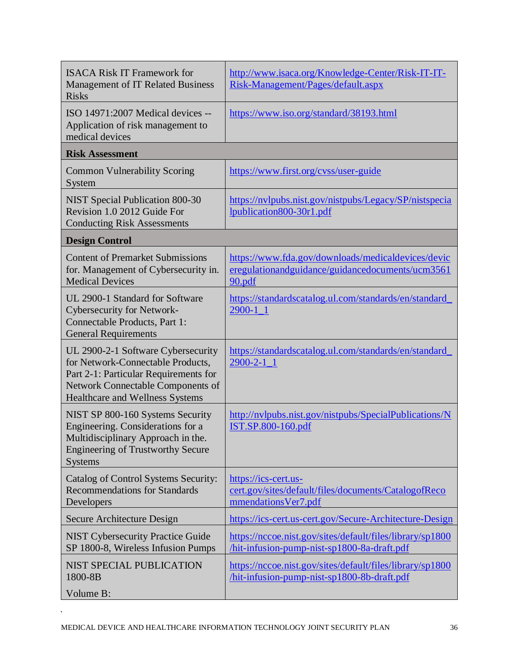| <b>ISACA Risk IT Framework for</b><br><b>Management of IT Related Business</b><br><b>Risks</b>                                                                                           | http://www.isaca.org/Knowledge-Center/Risk-IT-IT-<br>Risk-Management/Pages/default.aspx                          |
|------------------------------------------------------------------------------------------------------------------------------------------------------------------------------------------|------------------------------------------------------------------------------------------------------------------|
| ISO 14971:2007 Medical devices --<br>Application of risk management to<br>medical devices                                                                                                | https://www.iso.org/standard/38193.html                                                                          |
| <b>Risk Assessment</b>                                                                                                                                                                   |                                                                                                                  |
| <b>Common Vulnerability Scoring</b><br>System                                                                                                                                            | https://www.first.org/cvss/user-guide                                                                            |
| <b>NIST Special Publication 800-30</b><br>Revision 1.0 2012 Guide For<br><b>Conducting Risk Assessments</b>                                                                              | https://nvlpubs.nist.gov/nistpubs/Legacy/SP/nistspecia<br>lpublication800-30r1.pdf                               |
| <b>Design Control</b>                                                                                                                                                                    |                                                                                                                  |
| <b>Content of Premarket Submissions</b><br>for. Management of Cybersecurity in.<br><b>Medical Devices</b>                                                                                | https://www.fda.gov/downloads/medicaldevices/devic<br>eregulationandguidance/guidancedocuments/ucm3561<br>90.pdf |
| UL 2900-1 Standard for Software<br>Cybersecurity for Network-<br>Connectable Products, Part 1:<br><b>General Requirements</b>                                                            | https://standardscatalog.ul.com/standards/en/standard<br>$2900 - 1 - 1$                                          |
| UL 2900-2-1 Software Cybersecurity<br>for Network-Connectable Products,<br>Part 2-1: Particular Requirements for<br>Network Connectable Components of<br>Healthcare and Wellness Systems | https://standardscatalog.ul.com/standards/en/standard<br>$2900 - 2 - 1 - 1$                                      |
| NIST SP 800-160 Systems Security<br>Engineering. Considerations for a<br>Multidisciplinary Approach in the.<br><b>Engineering of Trustworthy Secure</b><br><b>Systems</b>                | http://nvlpubs.nist.gov/nistpubs/SpecialPublications/N<br><b>IST.SP.800-160.pdf</b>                              |
| Catalog of Control Systems Security:<br><b>Recommendations for Standards</b><br>Developers                                                                                               | https://ics-cert.us-<br>cert.gov/sites/default/files/documents/CatalogofReco<br>mmendations Ver7.pdf             |
| Secure Architecture Design                                                                                                                                                               | https://ics-cert.us-cert.gov/Secure-Architecture-Design                                                          |
| <b>NIST Cybersecurity Practice Guide</b><br>SP 1800-8, Wireless Infusion Pumps                                                                                                           | https://nccoe.nist.gov/sites/default/files/library/sp1800<br>hit-infusion-pump-nist-sp1800-8a-draft.pdf          |
| NIST SPECIAL PUBLICATION<br>1800-8B<br>Volume B:                                                                                                                                         | https://nccoe.nist.gov/sites/default/files/library/sp1800<br>hit-infusion-pump-nist-sp1800-8b-draft.pdf          |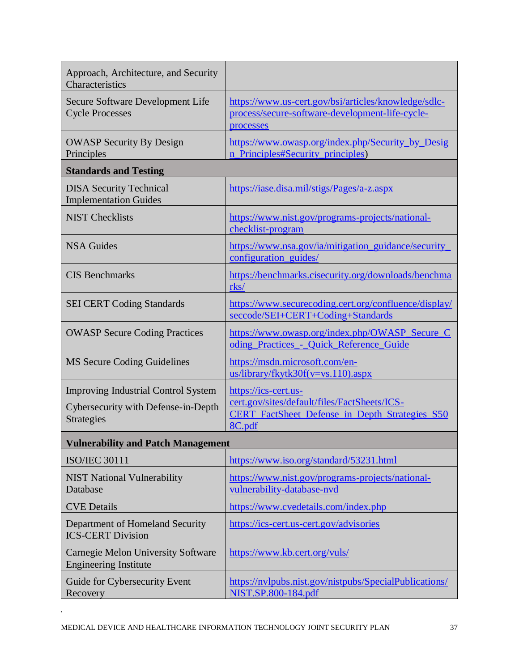| Approach, Architecture, and Security<br>Characteristics                                                |                                                                                                                                         |
|--------------------------------------------------------------------------------------------------------|-----------------------------------------------------------------------------------------------------------------------------------------|
| Secure Software Development Life<br><b>Cycle Processes</b>                                             | https://www.us-cert.gov/bsi/articles/knowledge/sdlc-<br>process/secure-software-development-life-cycle-<br>processes                    |
| <b>OWASP Security By Design</b><br>Principles                                                          | https://www.owasp.org/index.php/Security_by_Desig<br>n Principles#Security principles)                                                  |
| <b>Standards and Testing</b>                                                                           |                                                                                                                                         |
| <b>DISA Security Technical</b><br><b>Implementation Guides</b>                                         | https://iase.disa.mil/stigs/Pages/a-z.aspx                                                                                              |
| <b>NIST Checklists</b>                                                                                 | https://www.nist.gov/programs-projects/national-<br>checklist-program                                                                   |
| <b>NSA Guides</b>                                                                                      | https://www.nsa.gov/ia/mitigation_guidance/security_<br>configuration guides/                                                           |
| <b>CIS Benchmarks</b>                                                                                  | https://benchmarks.cisecurity.org/downloads/benchma<br>$rks$ /                                                                          |
| <b>SEI CERT Coding Standards</b>                                                                       | https://www.securecoding.cert.org/confluence/display/<br>seccode/SEI+CERT+Coding+Standards                                              |
| <b>OWASP Secure Coding Practices</b>                                                                   | https://www.owasp.org/index.php/OWASP_Secure_C<br>oding Practices - Quick Reference Guide                                               |
| MS Secure Coding Guidelines                                                                            | https://msdn.microsoft.com/en-<br>$us/library/fkytk30f(v=vs.110).aspx$                                                                  |
| <b>Improving Industrial Control System</b><br>Cybersecurity with Defense-in-Depth<br><b>Strategies</b> | https://ics-cert.us-<br>cert.gov/sites/default/files/FactSheets/ICS-<br><b>CERT FactSheet Defense in Depth Strategies S50</b><br>8C.pdf |
| <b>Vulnerability and Patch Management</b>                                                              |                                                                                                                                         |
| <b>ISO/IEC 30111</b>                                                                                   | https://www.iso.org/standard/53231.html                                                                                                 |
| <b>NIST National Vulnerability</b><br>Database                                                         | https://www.nist.gov/programs-projects/national-<br>vulnerability-database-nvd                                                          |
| <b>CVE Details</b>                                                                                     | https://www.cvedetails.com/index.php                                                                                                    |
| Department of Homeland Security<br><b>ICS-CERT Division</b>                                            | https://ics-cert.us-cert.gov/advisories                                                                                                 |
| Carnegie Melon University Software<br><b>Engineering Institute</b>                                     | https://www.kb.cert.org/vuls/                                                                                                           |
| Guide for Cybersecurity Event<br>Recovery                                                              | https://nvlpubs.nist.gov/nistpubs/SpecialPublications/<br>NIST.SP.800-184.pdf                                                           |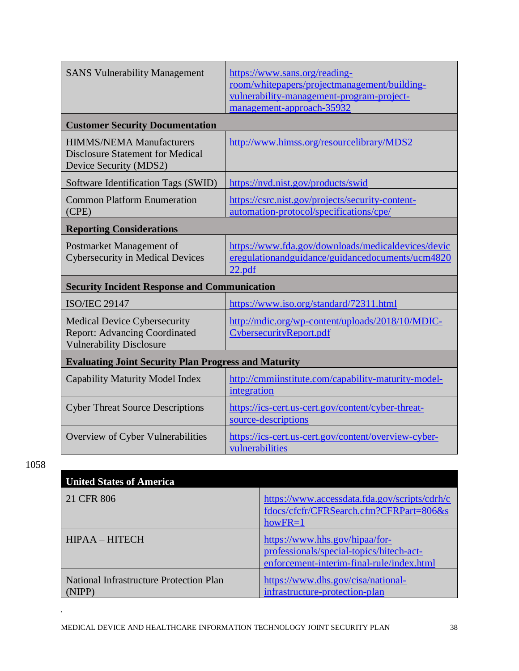| <b>SANS Vulnerability Management</b>                                                                           | https://www.sans.org/reading-<br>room/whitepapers/projectmanagement/building-<br>vulnerability-management-program-project-<br>management-approach-35932 |
|----------------------------------------------------------------------------------------------------------------|---------------------------------------------------------------------------------------------------------------------------------------------------------|
| <b>Customer Security Documentation</b>                                                                         |                                                                                                                                                         |
| <b>HIMMS/NEMA Manufacturers</b><br><b>Disclosure Statement for Medical</b><br>Device Security (MDS2)           | http://www.himss.org/resourcelibrary/MDS2                                                                                                               |
| Software Identification Tags (SWID)                                                                            | https://nvd.nist.gov/products/swid                                                                                                                      |
| <b>Common Platform Enumeration</b><br>(CPE)                                                                    | https://csrc.nist.gov/projects/security-content-<br>automation-protocol/specifications/cpe/                                                             |
| <b>Reporting Considerations</b>                                                                                |                                                                                                                                                         |
| Postmarket Management of<br><b>Cybersecurity in Medical Devices</b>                                            | https://www.fda.gov/downloads/medicaldevices/devic<br>eregulationandguidance/guidancedocuments/ucm4820<br>22.pdf                                        |
| <b>Security Incident Response and Communication</b>                                                            |                                                                                                                                                         |
| <b>ISO/IEC 29147</b>                                                                                           | https://www.iso.org/standard/72311.html                                                                                                                 |
| <b>Medical Device Cybersecurity</b><br><b>Report: Advancing Coordinated</b><br><b>Vulnerability Disclosure</b> | http://mdic.org/wp-content/uploads/2018/10/MDIC-<br>CybersecurityReport.pdf                                                                             |
| <b>Evaluating Joint Security Plan Progress and Maturity</b>                                                    |                                                                                                                                                         |
| Capability Maturity Model Index                                                                                | http://cmmiinstitute.com/capability-maturity-model-<br>integration                                                                                      |
| <b>Cyber Threat Source Descriptions</b>                                                                        | https://ics-cert.us-cert.gov/content/cyber-threat-<br>source-descriptions                                                                               |
| Overview of Cyber Vulnerabilities                                                                              | https://ics-cert.us-cert.gov/content/overview-cyber-<br>vulnerabilities                                                                                 |

1058

 $\hat{\mathcal{A}}$ 

| <b>United States of America</b>                   |                                                                                                                         |
|---------------------------------------------------|-------------------------------------------------------------------------------------------------------------------------|
| 21 CFR 806                                        | https://www.accessdata.fda.gov/scripts/cdrh/c<br>fdocs/cfcfr/CFRSearch.cfm?CFRPart=806&s<br>$howFR = 1$                 |
| <b>HIPAA – HITECH</b>                             | https://www.hhs.gov/hipaa/for-<br>professionals/special-topics/hitech-act-<br>enforcement-interim-final-rule/index.html |
| National Infrastructure Protection Plan<br>(NIPP) | https://www.dhs.gov/cisa/national-<br>infrastructure-protection-plan                                                    |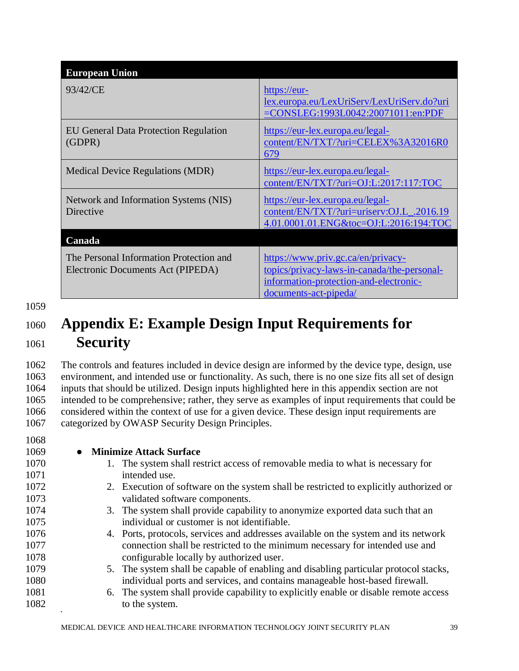| <b>European Union</b>                                                        |                                                                                                                                                     |
|------------------------------------------------------------------------------|-----------------------------------------------------------------------------------------------------------------------------------------------------|
| 93/42/CE                                                                     | https://eur-<br>lex.europa.eu/LexUriServ/LexUriServ.do?uri<br>=CONSLEG:1993L0042:20071011:en:PDF                                                    |
| <b>EU General Data Protection Regulation</b><br>(GDPR)                       | https://eur-lex.europa.eu/legal-<br>content/EN/TXT/?uri=CELEX%3A32016R0<br>679                                                                      |
| <b>Medical Device Regulations (MDR)</b>                                      | https://eur-lex.europa.eu/legal-<br>content/EN/TXT/?uri=OJ:L:2017:117:TOC                                                                           |
| Network and Information Systems (NIS)<br>Directive                           | https://eur-lex.europa.eu/legal-<br>content/EN/TXT/?uri=uriserv:OJ.L_.2016.19<br>4.01.0001.01.ENG&toc=OJ:L:2016:194:TOC                             |
| Canada                                                                       |                                                                                                                                                     |
| The Personal Information Protection and<br>Electronic Documents Act (PIPEDA) | https://www.priv.gc.ca/en/privacy-<br>topics/privacy-laws-in-canada/the-personal-<br>information-protection-and-electronic-<br>documents-act-pipeda |

1059

# <span id="page-38-0"></span><sup>1060</sup> **Appendix E: Example Design Input Requirements for**  <sup>1061</sup> **Security**

 The controls and features included in device design are informed by the device type, design, use environment, and intended use or functionality. As such, there is no one size fits all set of design inputs that should be utilized. Design inputs highlighted here in this appendix section are not intended to be comprehensive; rather, they serve as examples of input requirements that could be considered within the context of use for a given device. These design input requirements are categorized by OWASP Security Design Principles.

| 1069<br><b>Minimize Attack Surface</b><br>$\bullet$<br>1070<br>The system shall restrict access of removable media to what is necessary for<br>1.<br>1071<br>intended use.<br>1072<br>2. Execution of software on the system shall be restricted to explicitly authorized or<br>1073<br>validated software components.<br>1074<br>3. The system shall provide capability to anonymize exported data such that an<br>individual or customer is not identifiable.<br>1075<br>1076<br>4. Ports, protocols, services and addresses available on the system and its network<br>1077<br>connection shall be restricted to the minimum necessary for intended use and<br>1078<br>configurable locally by authorized user.<br>1079<br>5. The system shall be capable of enabling and disabling particular protocol stacks,<br>individual ports and services, and contains manageable host-based firewall.<br>1080<br>1081<br>6. The system shall provide capability to explicitly enable or disable remote access<br>1082<br>to the system. | 1068 |  |
|-------------------------------------------------------------------------------------------------------------------------------------------------------------------------------------------------------------------------------------------------------------------------------------------------------------------------------------------------------------------------------------------------------------------------------------------------------------------------------------------------------------------------------------------------------------------------------------------------------------------------------------------------------------------------------------------------------------------------------------------------------------------------------------------------------------------------------------------------------------------------------------------------------------------------------------------------------------------------------------------------------------------------------------|------|--|
|                                                                                                                                                                                                                                                                                                                                                                                                                                                                                                                                                                                                                                                                                                                                                                                                                                                                                                                                                                                                                                     |      |  |
|                                                                                                                                                                                                                                                                                                                                                                                                                                                                                                                                                                                                                                                                                                                                                                                                                                                                                                                                                                                                                                     |      |  |
|                                                                                                                                                                                                                                                                                                                                                                                                                                                                                                                                                                                                                                                                                                                                                                                                                                                                                                                                                                                                                                     |      |  |
|                                                                                                                                                                                                                                                                                                                                                                                                                                                                                                                                                                                                                                                                                                                                                                                                                                                                                                                                                                                                                                     |      |  |
|                                                                                                                                                                                                                                                                                                                                                                                                                                                                                                                                                                                                                                                                                                                                                                                                                                                                                                                                                                                                                                     |      |  |
|                                                                                                                                                                                                                                                                                                                                                                                                                                                                                                                                                                                                                                                                                                                                                                                                                                                                                                                                                                                                                                     |      |  |
|                                                                                                                                                                                                                                                                                                                                                                                                                                                                                                                                                                                                                                                                                                                                                                                                                                                                                                                                                                                                                                     |      |  |
|                                                                                                                                                                                                                                                                                                                                                                                                                                                                                                                                                                                                                                                                                                                                                                                                                                                                                                                                                                                                                                     |      |  |
|                                                                                                                                                                                                                                                                                                                                                                                                                                                                                                                                                                                                                                                                                                                                                                                                                                                                                                                                                                                                                                     |      |  |
|                                                                                                                                                                                                                                                                                                                                                                                                                                                                                                                                                                                                                                                                                                                                                                                                                                                                                                                                                                                                                                     |      |  |
|                                                                                                                                                                                                                                                                                                                                                                                                                                                                                                                                                                                                                                                                                                                                                                                                                                                                                                                                                                                                                                     |      |  |
|                                                                                                                                                                                                                                                                                                                                                                                                                                                                                                                                                                                                                                                                                                                                                                                                                                                                                                                                                                                                                                     |      |  |
|                                                                                                                                                                                                                                                                                                                                                                                                                                                                                                                                                                                                                                                                                                                                                                                                                                                                                                                                                                                                                                     |      |  |
|                                                                                                                                                                                                                                                                                                                                                                                                                                                                                                                                                                                                                                                                                                                                                                                                                                                                                                                                                                                                                                     |      |  |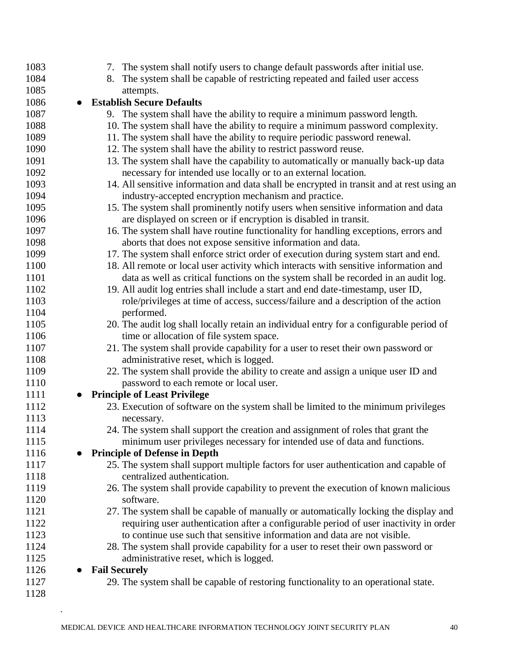| 1083 | 7. The system shall notify users to change default passwords after initial use.           |
|------|-------------------------------------------------------------------------------------------|
| 1084 | 8. The system shall be capable of restricting repeated and failed user access             |
| 1085 | attempts.                                                                                 |
| 1086 | <b>Establish Secure Defaults</b>                                                          |
| 1087 | 9. The system shall have the ability to require a minimum password length.                |
| 1088 | 10. The system shall have the ability to require a minimum password complexity.           |
| 1089 | 11. The system shall have the ability to require periodic password renewal.               |
| 1090 | 12. The system shall have the ability to restrict password reuse.                         |
| 1091 | 13. The system shall have the capability to automatically or manually back-up data        |
| 1092 | necessary for intended use locally or to an external location.                            |
| 1093 | 14. All sensitive information and data shall be encrypted in transit and at rest using an |
| 1094 | industry-accepted encryption mechanism and practice.                                      |
| 1095 | 15. The system shall prominently notify users when sensitive information and data         |
| 1096 | are displayed on screen or if encryption is disabled in transit.                          |
| 1097 | 16. The system shall have routine functionality for handling exceptions, errors and       |
| 1098 | aborts that does not expose sensitive information and data.                               |
| 1099 | 17. The system shall enforce strict order of execution during system start and end.       |
| 1100 | 18. All remote or local user activity which interacts with sensitive information and      |
| 1101 | data as well as critical functions on the system shall be recorded in an audit log.       |
| 1102 | 19. All audit log entries shall include a start and end date-timestamp, user ID,          |
| 1103 | role/privileges at time of access, success/failure and a description of the action        |
| 1104 | performed.                                                                                |
| 1105 | 20. The audit log shall locally retain an individual entry for a configurable period of   |
| 1106 | time or allocation of file system space.                                                  |
| 1107 | 21. The system shall provide capability for a user to reset their own password or         |
| 1108 | administrative reset, which is logged.                                                    |
| 1109 | 22. The system shall provide the ability to create and assign a unique user ID and        |
| 1110 | password to each remote or local user.                                                    |
| 1111 | <b>Principle of Least Privilege</b>                                                       |
| 1112 | 23. Execution of software on the system shall be limited to the minimum privileges        |
| 1113 | necessary.                                                                                |
| 1114 | 24. The system shall support the creation and assignment of roles that grant the          |
| 1115 | minimum user privileges necessary for intended use of data and functions.                 |
| 1116 | <b>Principle of Defense in Depth</b>                                                      |
| 1117 | 25. The system shall support multiple factors for user authentication and capable of      |
| 1118 | centralized authentication.                                                               |
| 1119 | 26. The system shall provide capability to prevent the execution of known malicious       |
| 1120 | software.                                                                                 |
| 1121 | 27. The system shall be capable of manually or automatically locking the display and      |
| 1122 | requiring user authentication after a configurable period of user inactivity in order     |
| 1123 | to continue use such that sensitive information and data are not visible.                 |
| 1124 | 28. The system shall provide capability for a user to reset their own password or         |
| 1125 | administrative reset, which is logged.                                                    |
| 1126 | <b>Fail Securely</b>                                                                      |
| 1127 | 29. The system shall be capable of restoring functionality to an operational state.       |
| 1128 |                                                                                           |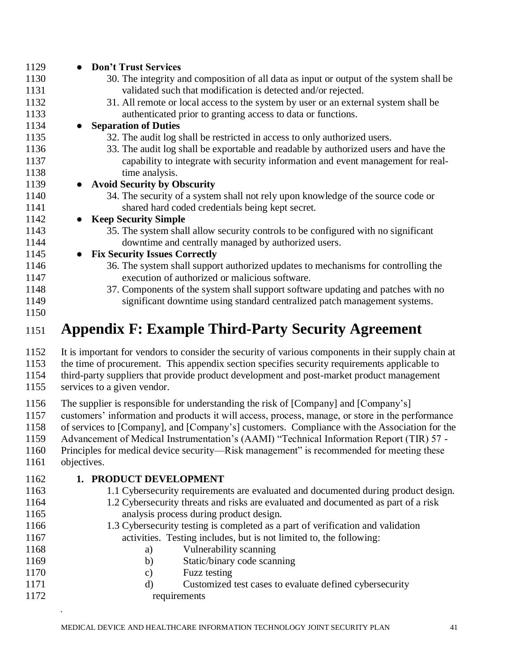| 1129            | <b>Don't Trust Services</b>                                                                                                                                                                                                                                                                                                   |
|-----------------|-------------------------------------------------------------------------------------------------------------------------------------------------------------------------------------------------------------------------------------------------------------------------------------------------------------------------------|
| 1130            | 30. The integrity and composition of all data as input or output of the system shall be                                                                                                                                                                                                                                       |
| 1131            | validated such that modification is detected and/or rejected.                                                                                                                                                                                                                                                                 |
| 1132            | 31. All remote or local access to the system by user or an external system shall be                                                                                                                                                                                                                                           |
| 1133            | authenticated prior to granting access to data or functions.                                                                                                                                                                                                                                                                  |
| 1134            | <b>Separation of Duties</b>                                                                                                                                                                                                                                                                                                   |
| 1135            | 32. The audit log shall be restricted in access to only authorized users.                                                                                                                                                                                                                                                     |
| 1136            | 33. The audit log shall be exportable and readable by authorized users and have the                                                                                                                                                                                                                                           |
| 1137            | capability to integrate with security information and event management for real-                                                                                                                                                                                                                                              |
| 1138            | time analysis.                                                                                                                                                                                                                                                                                                                |
| 1139            | <b>Avoid Security by Obscurity</b>                                                                                                                                                                                                                                                                                            |
| 1140            | 34. The security of a system shall not rely upon knowledge of the source code or                                                                                                                                                                                                                                              |
| 1141            | shared hard coded credentials being kept secret.                                                                                                                                                                                                                                                                              |
| 1142            | <b>Keep Security Simple</b>                                                                                                                                                                                                                                                                                                   |
| 1143            | 35. The system shall allow security controls to be configured with no significant                                                                                                                                                                                                                                             |
| 1144            | downtime and centrally managed by authorized users.                                                                                                                                                                                                                                                                           |
| 1145            | <b>Fix Security Issues Correctly</b>                                                                                                                                                                                                                                                                                          |
| 1146            | 36. The system shall support authorized updates to mechanisms for controlling the                                                                                                                                                                                                                                             |
| 1147            | execution of authorized or malicious software.                                                                                                                                                                                                                                                                                |
| 1148            | 37. Components of the system shall support software updating and patches with no                                                                                                                                                                                                                                              |
| 1149            | significant downtime using standard centralized patch management systems.                                                                                                                                                                                                                                                     |
| 1150            |                                                                                                                                                                                                                                                                                                                               |
| 1151            | <b>Appendix F: Example Third-Party Security Agreement</b>                                                                                                                                                                                                                                                                     |
| 1152            | It is important for vendors to consider the security of various components in their supply chain at                                                                                                                                                                                                                           |
| 1153            | the time of procurement. This appendix section specifies security requirements applicable to                                                                                                                                                                                                                                  |
| 1154            | third-party suppliers that provide product development and post-market product management                                                                                                                                                                                                                                     |
| 1155            | services to a given vendor.                                                                                                                                                                                                                                                                                                   |
|                 |                                                                                                                                                                                                                                                                                                                               |
| 1156            | The supplier is responsible for understanding the risk of [Company] and [Company's]                                                                                                                                                                                                                                           |
| 1157            | customers' information and products it will access, process, manage, or store in the performance                                                                                                                                                                                                                              |
| 1158            | of services to [Company], and [Company's] customers. Compliance with the Association for the                                                                                                                                                                                                                                  |
| 1159            | Advancement of Medical Instrumentation's (AAMI) "Technical Information Report (TIR) 57 -                                                                                                                                                                                                                                      |
| 1160<br>1161    | Principles for medical device security—Risk management" is recommended for meeting these<br>objectives.                                                                                                                                                                                                                       |
|                 |                                                                                                                                                                                                                                                                                                                               |
| 1162            | 1. PRODUCT DEVELOPMENT                                                                                                                                                                                                                                                                                                        |
| 11 <sub>7</sub> | $1.1 \, \text{C}$ . $1.2 \, \text{C}$ . $1.2 \, \text{C}$ . $1.2 \, \text{C}$ . $1.2 \, \text{C}$ . $1.2 \, \text{C}$ . $1.2 \, \text{C}$ . $1.2 \, \text{C}$ . $1.2 \, \text{C}$ . $1.2 \, \text{C}$ . $1.2 \, \text{C}$ . $1.2 \, \text{C}$ . $1.2 \, \text{C}$ . $1.2 \, \text{C}$ . $1.2 \, \text{C}$ . $1.2 \, \text{C}$ |

- <span id="page-40-0"></span>1.1 Cybersecurity requirements are evaluated and documented during product design.
- 1.2 Cybersecurity threats and risks are evaluated and documented as part of a risk analysis process during product design.
- 1166 1.3 Cybersecurity testing is completed as a part of verification and validation activities. Testing includes, but is not limited to, the following:
- a) Vulnerability scanning
- 1169 b) Static/binary code scanning
- c) Fuzz testing
- d) Customized test cases to evaluate defined cybersecurity 1172 requirements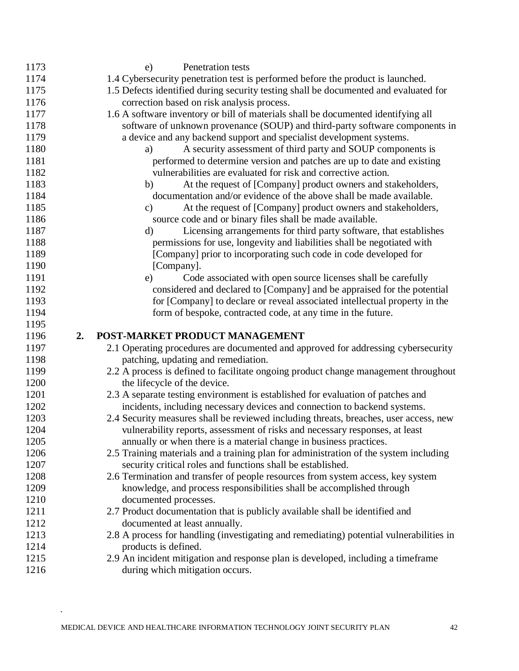| 1173         |    | Penetration tests<br>e)                                                                                             |
|--------------|----|---------------------------------------------------------------------------------------------------------------------|
| 1174         |    | 1.4 Cybersecurity penetration test is performed before the product is launched.                                     |
| 1175         |    | 1.5 Defects identified during security testing shall be documented and evaluated for                                |
| 1176         |    | correction based on risk analysis process.                                                                          |
| 1177         |    | 1.6 A software inventory or bill of materials shall be documented identifying all                                   |
| 1178         |    | software of unknown provenance (SOUP) and third-party software components in                                        |
| 1179         |    | a device and any backend support and specialist development systems.                                                |
| 1180         |    | A security assessment of third party and SOUP components is<br>a)                                                   |
| 1181         |    | performed to determine version and patches are up to date and existing                                              |
| 1182         |    | vulnerabilities are evaluated for risk and corrective action.                                                       |
| 1183         |    | At the request of [Company] product owners and stakeholders,<br>b)                                                  |
| 1184         |    | documentation and/or evidence of the above shall be made available.                                                 |
| 1185         |    | At the request of [Company] product owners and stakeholders,<br>$\mathbf{c})$                                       |
| 1186         |    | source code and or binary files shall be made available.                                                            |
| 1187         |    | Licensing arrangements for third party software, that establishes<br>d)                                             |
| 1188         |    | permissions for use, longevity and liabilities shall be negotiated with                                             |
| 1189         |    | [Company] prior to incorporating such code in code developed for                                                    |
| 1190         |    | [Company].                                                                                                          |
| 1191         |    | Code associated with open source licenses shall be carefully<br>e)                                                  |
| 1192         |    | considered and declared to [Company] and be appraised for the potential                                             |
| 1193         |    | for [Company] to declare or reveal associated intellectual property in the                                          |
| 1194         |    | form of bespoke, contracted code, at any time in the future.                                                        |
| 1195         |    |                                                                                                                     |
| 1196         | 2. | POST-MARKET PRODUCT MANAGEMENT                                                                                      |
| 1197         |    | 2.1 Operating procedures are documented and approved for addressing cybersecurity                                   |
| 1198         |    | patching, updating and remediation.                                                                                 |
| 1199         |    | 2.2 A process is defined to facilitate ongoing product change management throughout                                 |
| 1200         |    | the lifecycle of the device.                                                                                        |
| 1201         |    | 2.3 A separate testing environment is established for evaluation of patches and                                     |
| 1202         |    | incidents, including necessary devices and connection to backend systems.                                           |
| 1203         |    | 2.4 Security measures shall be reviewed including threats, breaches, user access, new                               |
| 1204         |    | vulnerability reports, assessment of risks and necessary responses, at least                                        |
| 1205         |    |                                                                                                                     |
|              |    | annually or when there is a material change in business practices.                                                  |
| 1206         |    | 2.5 Training materials and a training plan for administration of the system including                               |
| 1207         |    | security critical roles and functions shall be established.                                                         |
| 1208         |    | 2.6 Termination and transfer of people resources from system access, key system                                     |
| 1209         |    | knowledge, and process responsibilities shall be accomplished through                                               |
| 1210         |    | documented processes.                                                                                               |
| 1211         |    | 2.7 Product documentation that is publicly available shall be identified and                                        |
| 1212         |    | documented at least annually.                                                                                       |
| 1213         |    | 2.8 A process for handling (investigating and remediating) potential vulnerabilities in                             |
| 1214         |    | products is defined.                                                                                                |
| 1215<br>1216 |    | 2.9 An incident mitigation and response plan is developed, including a timeframe<br>during which mitigation occurs. |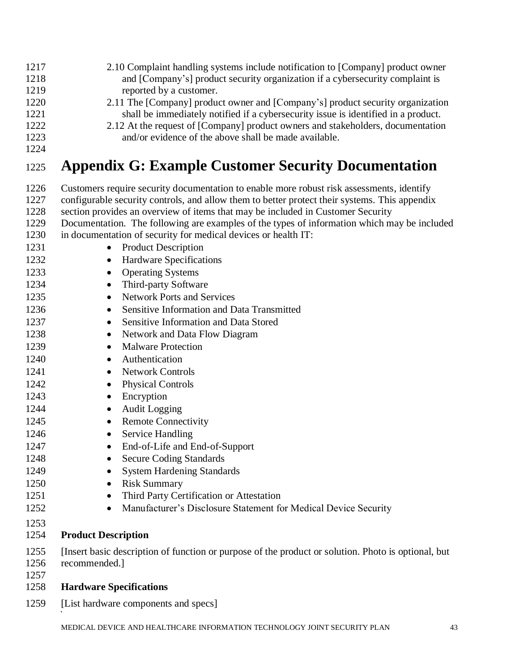- 1217 2.10 Complaint handling systems include notification to [Company] product owner 1218 and [Company's] product security organization if a cybersecurity complaint is 1219 reported by a customer. 1220 2.11 The [Company] product owner and [Company's] product security organization 1221 shall be immediately notified if a cybersecurity issue is identified in a product. 1222 2.12 At the request of [Company] product owners and stakeholders, documentation
- 1223 and/or evidence of the above shall be made available.
- <span id="page-42-0"></span>1224

# <sup>1225</sup> **Appendix G: Example Customer Security Documentation**

1226 Customers require security documentation to enable more robust risk assessments, identify 1227 configurable security controls, and allow them to better protect their systems. This appendix 1228 section provides an overview of items that may be included in Customer Security 1229 Documentation. The following are examples of the types of information which may be included 1230 in documentation of security for medical devices or health IT: 1231 • Product Description 1232 • Hardware Specifications 1233 • Operating Systems 1234 • Third-party Software 1235 • Network Ports and Services 1236 • Sensitive Information and Data Transmitted 1237 • Sensitive Information and Data Stored 1238 • Network and Data Flow Diagram 1239 • Malware Protection 1240 • Authentication 1241 • Network Controls 1242 • Physical Controls 1243 • Encryption 1244 • Audit Logging 1245 • Remote Connectivity 1246 • Service Handling 1247 • End-of-Life and End-of-Support 1248 • Secure Coding Standards 1249 • System Hardening Standards 1250 • Risk Summary 1251 • Third Party Certification or Attestation 1252 • Manufacturer's Disclosure Statement for Medical Device Security 1253 1254 **Product Description** 1255 [Insert basic description of function or purpose of the product or solution. Photo is optional, but 1256 recommended.] 1257 1258 **Hardware Specifications** 1259 [List hardware components and specs]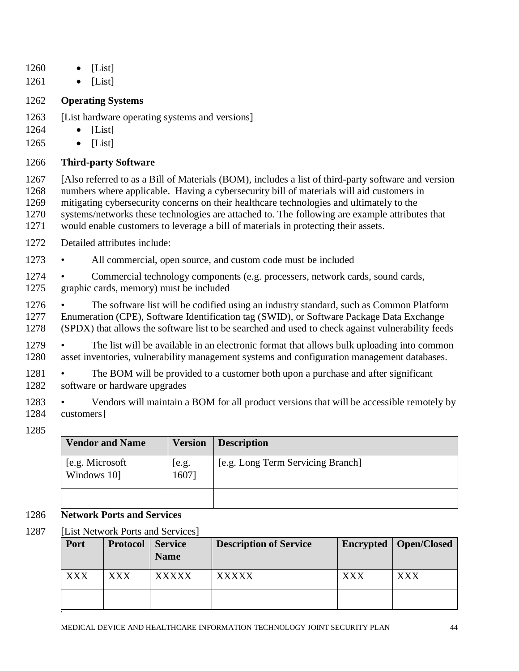- 1260 [List]
- 1261 [List]

### 1262 **Operating Systems**

- 1263 [List hardware operating systems and versions]
- 1264 [List]
- 1265 [List]

### 1266 **Third-party Software**

 [Also referred to as a Bill of Materials (BOM), includes a list of third-party software and version numbers where applicable. Having a cybersecurity bill of materials will aid customers in mitigating cybersecurity concerns on their healthcare technologies and ultimately to the systems/networks these technologies are attached to. The following are example attributes that would enable customers to leverage a bill of materials in protecting their assets.

- 1272 Detailed attributes include:
- 1273 All commercial, open source, and custom code must be included
- 1274 Commercial technology components (e.g. processers, network cards, sound cards, 1275 graphic cards, memory) must be included
- 1276 The software list will be codified using an industry standard, such as Common Platform 1277 Enumeration (CPE), Software Identification tag (SWID), or Software Package Data Exchange 1278 (SPDX) that allows the software list to be searched and used to check against vulnerability feeds
- 1279 The list will be available in an electronic format that allows bulk uploading into common 1280 asset inventories, vulnerability management systems and configuration management databases.
- 1281 The BOM will be provided to a customer both upon a purchase and after significant 1282 software or hardware upgrades
- 1283 Vendors will maintain a BOM for all product versions that will be accessible remotely by 1284 customers]
- 1285

| <b>Vendor and Name</b>          | <b>Version</b>    | <b>Description</b>                |
|---------------------------------|-------------------|-----------------------------------|
| [e.g. Microsoft]<br>Windows 10] | $[$ e.g.<br>1607] | [e.g. Long Term Servicing Branch] |
|                                 |                   |                                   |

### 1286 **Network Ports and Services**

1287 [List Network Ports and Services]

| Port       | Protocol   | <b>Service</b><br><b>Name</b> | <b>Description of Service</b> |     | Encrypted   Open/Closed |
|------------|------------|-------------------------------|-------------------------------|-----|-------------------------|
| <b>XXX</b> | <b>XXX</b> | <b>XXXXX</b>                  | <b>XXXXX</b>                  | XXX | <b>XXX</b>              |
|            |            |                               |                               |     |                         |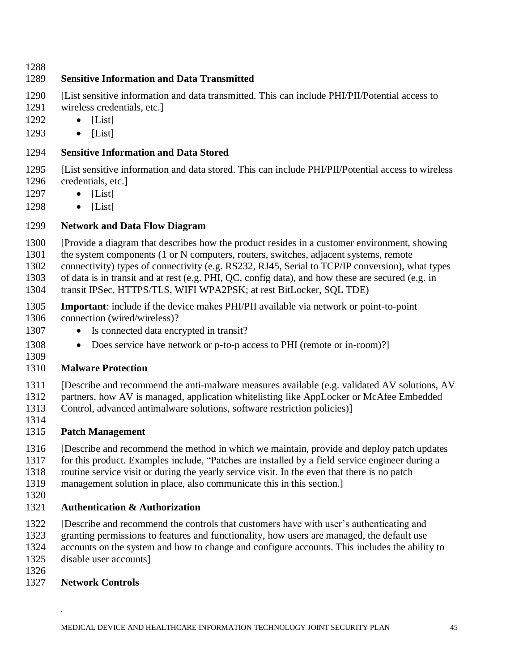### **Sensitive Information and Data Transmitted**

- [List sensitive information and data transmitted. This can include PHI/PII/Potential access to
- wireless credentials, etc.]
- [List]
- [List]

### **Sensitive Information and Data Stored**

- [List sensitive information and data stored. This can include PHI/PII/Potential access to wireless credentials, etc.]
- [List]
- [List]

### **Network and Data Flow Diagram**

- [Provide a diagram that describes how the product resides in a customer environment, showing
- the system components (1 or N computers, routers, switches, adjacent systems, remote
- connectivity) types of connectivity (e.g. RS232, RJ45, Serial to TCP/IP conversion), what types
- of data is in transit and at rest (e.g. PHI, QC, config data), and how these are secured (e.g. in
- transit IPSec, HTTPS/TLS, WIFI WPA2PSK; at rest BitLocker, SQL TDE)
- **Important**: include if the device makes PHI/PII available via network or point-to-point connection (wired/wireless)?
- 1307 Is connected data encrypted in transit?
- 1308 Does service have network or p-to-p access to PHI (remote or in-room)?
- 

### **Malware Protection**

- [Describe and recommend the anti-malware measures available (e.g. validated AV solutions, AV
- partners, how AV is managed, application whitelisting like AppLocker or McAfee Embedded
- Control, advanced antimalware solutions, software restriction policies)]
- 

### **Patch Management**

- [Describe and recommend the method in which we maintain, provide and deploy patch updates
- for this product. Examples include, "Patches are installed by a field service engineer during a
- routine service visit or during the yearly service visit. In the even that there is no patch
- management solution in place, also communicate this in this section.]
- 

### **Authentication & Authorization**

- [Describe and recommend the controls that customers have with user's authenticating and
- granting permissions to features and functionality, how users are managed, the default use
- accounts on the system and how to change and configure accounts. This includes the ability to
- disable user accounts]
- 

### **Network Controls**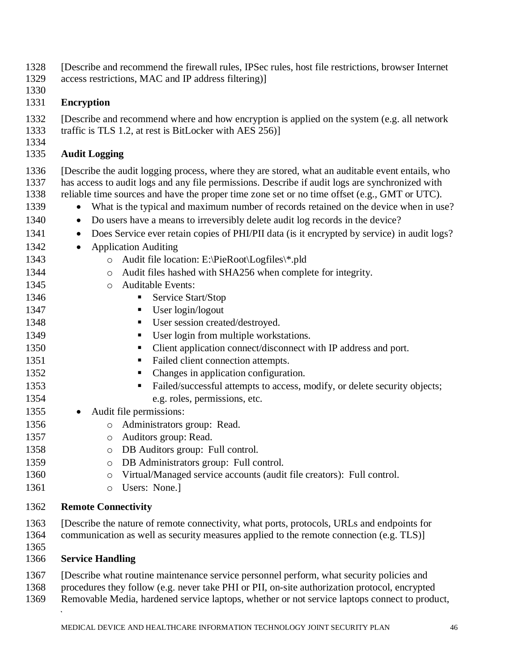[Describe and recommend the firewall rules, IPSec rules, host file restrictions, browser Internet

- access restrictions, MAC and IP address filtering)]
- 

### **Encryption**

[Describe and recommend where and how encryption is applied on the system (e.g. all network

- traffic is TLS 1.2, at rest is BitLocker with AES 256)]
- 

### **Audit Logging**

 [Describe the audit logging process, where they are stored, what an auditable event entails, who has access to audit logs and any file permissions. Describe if audit logs are synchronized with reliable time sources and have the proper time zone set or no time offset (e.g., GMT or UTC).

- 1339 What is the typical and maximum number of records retained on the device when in use?
- Do users have a means to irreversibly delete audit log records in the device?
- Does Service ever retain copies of PHI/PII data (is it encrypted by service) in audit logs?
- 1342 Application Auditing
- **o** Audit file location: E:\PieRoot\Logfiles\\*.pld
- **o** Audit files hashed with SHA256 when complete for integrity.
- **o** Auditable Events:
- 1346 Service Start/Stop
- **•** User login/logout
- **User session created/destroyed.**
- **•** User login from multiple workstations.
- Client application connect/disconnect with IP address and port.
- **Failed client connection attempts.**
- 1352 Changes in application configuration.
- **EXECUTE:** Failed/successful attempts to access, modify, or delete security objects; e.g. roles, permissions, etc.
- 1355 Audit file permissions:
- **o** Administrators group: Read.
- **b b c Auditors** group: Read.
- o DB Auditors group: Full control.
- o DB Administrators group: Full control.
- **o** Virtual/Managed service accounts (audit file creators): Full control.
- 1361 o Users: None.]

### **Remote Connectivity**

- [Describe the nature of remote connectivity, what ports, protocols, URLs and endpoints for 1364 communication as well as security measures applied to the remote connection (e.g. TLS)]
- 

### **Service Handling**

[Describe what routine maintenance service personnel perform, what security policies and

- procedures they follow (e.g. never take PHI or PII, on-site authorization protocol, encrypted
- Removable Media, hardened service laptops, whether or not service laptops connect to product,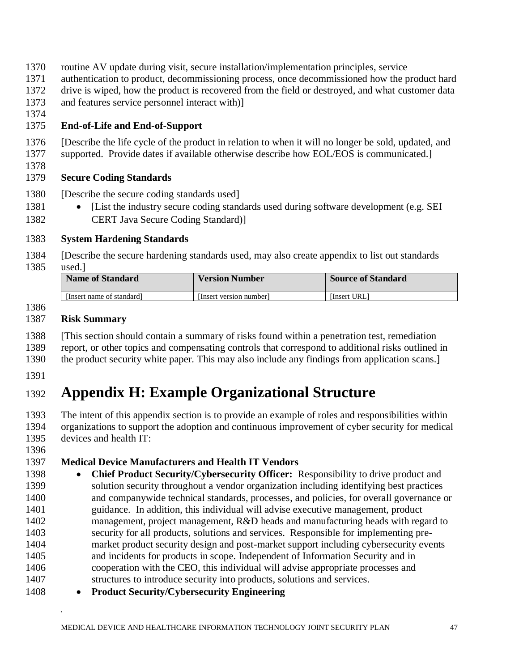- routine AV update during visit, secure installation/implementation principles, service
- authentication to product, decommissioning process, once decommissioned how the product hard
- drive is wiped, how the product is recovered from the field or destroyed, and what customer data
- and features service personnel interact with)]
- 

### **End-of-Life and End-of-Support**

- [Describe the life cycle of the product in relation to when it will no longer be sold, updated, and supported. Provide dates if available otherwise describe how EOL/EOS is communicated.]
- 

### **Secure Coding Standards**

- [Describe the secure coding standards used]
- [List the industry secure coding standards used during software development (e.g. SEI CERT Java Secure Coding Standard)]

### **System Hardening Standards**

 [Describe the secure hardening standards used, may also create appendix to list out standards used.]

| <b>Name of Standard</b> | <b>Version Number</b> | <b>Source of Standard</b> |
|-------------------------|-----------------------|---------------------------|
| Hnsert name of standard | Hnsert version number | [Insert URL]              |

#### **Risk Summary**

- [This section should contain a summary of risks found within a penetration test, remediation
- report, or other topics and compensating controls that correspond to additional risks outlined in
- the product security white paper. This may also include any findings from application scans.]
- 

# <span id="page-46-0"></span>**Appendix H: Example Organizational Structure**

 The intent of this appendix section is to provide an example of roles and responsibilities within organizations to support the adoption and continuous improvement of cyber security for medical devices and health IT:

### **Medical Device Manufacturers and Health IT Vendors**

- **Chief Product Security/Cybersecurity Officer:** Responsibility to drive product and solution security throughout a vendor organization including identifying best practices and companywide technical standards, processes, and policies, for overall governance or guidance. In addition, this individual will advise executive management, product management, project management, R&D heads and manufacturing heads with regard to security for all products, solutions and services. Responsible for implementing pre- market product security design and post-market support including cybersecurity events and incidents for products in scope. Independent of Information Security and in cooperation with the CEO, this individual will advise appropriate processes and structures to introduce security into products, solutions and services.
- **Product Security/Cybersecurity Engineering**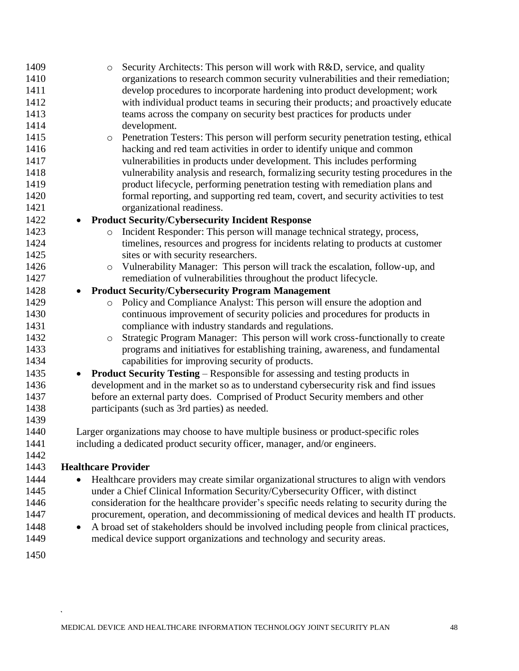| 1409 | $\circ$                    | Security Architects: This person will work with R&D, service, and quality                  |
|------|----------------------------|--------------------------------------------------------------------------------------------|
| 1410 |                            | organizations to research common security vulnerabilities and their remediation;           |
| 1411 |                            | develop procedures to incorporate hardening into product development; work                 |
| 1412 |                            | with individual product teams in securing their products; and proactively educate          |
| 1413 |                            | teams across the company on security best practices for products under                     |
| 1414 |                            | development.                                                                               |
| 1415 | $\circ$                    | Penetration Testers: This person will perform security penetration testing, ethical        |
| 1416 |                            | hacking and red team activities in order to identify unique and common                     |
| 1417 |                            | vulnerabilities in products under development. This includes performing                    |
| 1418 |                            | vulnerability analysis and research, formalizing security testing procedures in the        |
| 1419 |                            | product lifecycle, performing penetration testing with remediation plans and               |
| 1420 |                            | formal reporting, and supporting red team, covert, and security activities to test         |
| 1421 |                            | organizational readiness.                                                                  |
| 1422 |                            | <b>Product Security/Cybersecurity Incident Response</b>                                    |
| 1423 | $\circ$                    | Incident Responder: This person will manage technical strategy, process,                   |
| 1424 |                            | timelines, resources and progress for incidents relating to products at customer           |
| 1425 |                            | sites or with security researchers.                                                        |
| 1426 | $\circ$                    | Vulnerability Manager: This person will track the escalation, follow-up, and               |
| 1427 |                            | remediation of vulnerabilities throughout the product lifecycle.                           |
| 1428 |                            | <b>Product Security/Cybersecurity Program Management</b>                                   |
| 1429 | $\circ$                    | Policy and Compliance Analyst: This person will ensure the adoption and                    |
| 1430 |                            | continuous improvement of security policies and procedures for products in                 |
| 1431 |                            | compliance with industry standards and regulations.                                        |
| 1432 | $\circ$                    | Strategic Program Manager: This person will work cross-functionally to create              |
| 1433 |                            | programs and initiatives for establishing training, awareness, and fundamental             |
| 1434 |                            | capabilities for improving security of products.                                           |
| 1435 | $\bullet$                  | <b>Product Security Testing – Responsible for assessing and testing products in</b>        |
| 1436 |                            | development and in the market so as to understand cybersecurity risk and find issues       |
| 1437 |                            | before an external party does. Comprised of Product Security members and other             |
| 1438 |                            | participants (such as 3rd parties) as needed.                                              |
| 1439 |                            |                                                                                            |
| 1440 |                            | Larger organizations may choose to have multiple business or product-specific roles        |
| 1441 |                            | including a dedicated product security officer, manager, and/or engineers.                 |
| 1442 |                            |                                                                                            |
| 1443 | <b>Healthcare Provider</b> |                                                                                            |
| 1444 |                            | Healthcare providers may create similar organizational structures to align with vendors    |
| 1445 |                            | under a Chief Clinical Information Security/Cybersecurity Officer, with distinct           |
| 1446 |                            | consideration for the healthcare provider's specific needs relating to security during the |
| 1447 |                            | procurement, operation, and decommissioning of medical devices and health IT products.     |
| 1448 | $\bullet$                  | A broad set of stakeholders should be involved including people from clinical practices,   |
| 1449 |                            | medical device support organizations and technology and security areas.                    |
| 1450 |                            |                                                                                            |
|      |                            |                                                                                            |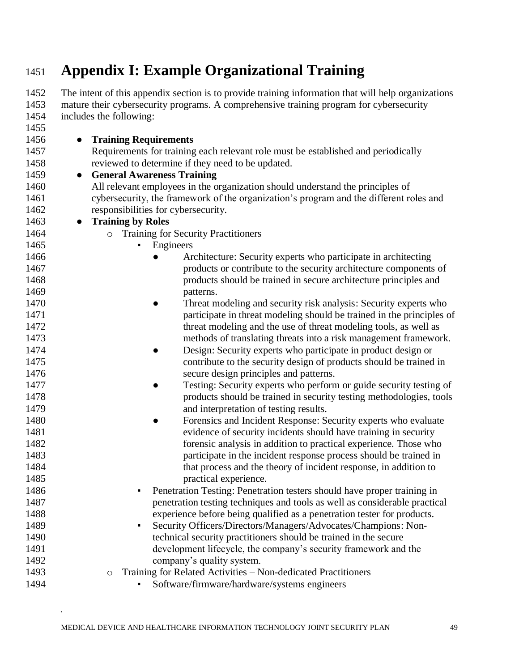# <span id="page-48-0"></span>**Appendix I: Example Organizational Training**

 The intent of this appendix section is to provide training information that will help organizations mature their cybersecurity programs. A comprehensive training program for cybersecurity<br>1454 includes the following:  $\frac{1}{2}$  includes the following:

| ューンー | mendes the following.                                                                  |
|------|----------------------------------------------------------------------------------------|
| 1455 |                                                                                        |
| 1456 | <b>Training Requirements</b>                                                           |
| 1457 | Requirements for training each relevant role must be established and periodically      |
| 1458 | reviewed to determine if they need to be updated.                                      |
| 1459 | <b>General Awareness Training</b><br>$\bullet$                                         |
| 1460 | All relevant employees in the organization should understand the principles of         |
| 1461 | cybersecurity, the framework of the organization's program and the different roles and |
| 1462 | responsibilities for cybersecurity.                                                    |
| 1463 | <b>Training by Roles</b><br>$\bullet$                                                  |
| 1464 | <b>Training for Security Practitioners</b><br>$\circ$                                  |
| 1465 | Engineers                                                                              |
| 1466 | Architecture: Security experts who participate in architecting                         |
| 1467 | products or contribute to the security architecture components of                      |
| 1468 | products should be trained in secure architecture principles and                       |
| 1469 | patterns.                                                                              |
| 1470 | Threat modeling and security risk analysis: Security experts who                       |
| 1471 | participate in threat modeling should be trained in the principles of                  |
| 1472 | threat modeling and the use of threat modeling tools, as well as                       |
| 1473 | methods of translating threats into a risk management framework.                       |
| 1474 | Design: Security experts who participate in product design or<br>$\bullet$             |
| 1475 | contribute to the security design of products should be trained in                     |
| 1476 | secure design principles and patterns.                                                 |
| 1477 | Testing: Security experts who perform or guide security testing of                     |
| 1478 | products should be trained in security testing methodologies, tools                    |
| 1479 | and interpretation of testing results.                                                 |
| 1480 | Forensics and Incident Response: Security experts who evaluate<br>$\bullet$            |
| 1481 | evidence of security incidents should have training in security                        |
| 1482 | forensic analysis in addition to practical experience. Those who                       |
| 1483 | participate in the incident response process should be trained in                      |
| 1484 | that process and the theory of incident response, in addition to                       |
| 1485 | practical experience.                                                                  |
| 1486 | Penetration Testing: Penetration testers should have proper training in                |
| 1487 | penetration testing techniques and tools as well as considerable practical             |
| 1488 | experience before being qualified as a penetration tester for products.                |
| 1489 | Security Officers/Directors/Managers/Advocates/Champions: Non-                         |
| 1490 | technical security practitioners should be trained in the secure                       |
| 1491 | development lifecycle, the company's security framework and the                        |
| 1492 | company's quality system.                                                              |
| 1493 | Training for Related Activities - Non-dedicated Practitioners<br>$\circ$               |
| 1494 | Software/firmware/hardware/systems engineers                                           |

 $\ddot{\phantom{0}}$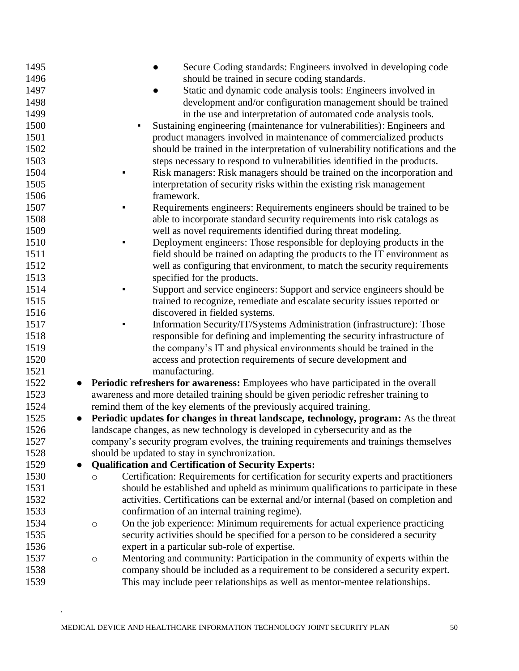| 1495              | Secure Coding standards: Engineers involved in developing code                                  |
|-------------------|-------------------------------------------------------------------------------------------------|
| 1496              | should be trained in secure coding standards.                                                   |
| 1497              | Static and dynamic code analysis tools: Engineers involved in                                   |
| 1498              | development and/or configuration management should be trained                                   |
| 1499              | in the use and interpretation of automated code analysis tools.                                 |
| 1500              | Sustaining engineering (maintenance for vulnerabilities): Engineers and                         |
| 1501              | product managers involved in maintenance of commercialized products                             |
| 1502              | should be trained in the interpretation of vulnerability notifications and the                  |
| 1503              | steps necessary to respond to vulnerabilities identified in the products.                       |
| 1504              | Risk managers: Risk managers should be trained on the incorporation and                         |
| 1505              | interpretation of security risks within the existing risk management                            |
| 1506              | framework.                                                                                      |
| 1507              | Requirements engineers: Requirements engineers should be trained to be<br>٠                     |
| 1508              | able to incorporate standard security requirements into risk catalogs as                        |
| 1509              | well as novel requirements identified during threat modeling.                                   |
| 1510              | Deployment engineers: Those responsible for deploying products in the<br>٠                      |
| 1511              | field should be trained on adapting the products to the IT environment as                       |
| 1512              | well as configuring that environment, to match the security requirements                        |
| 1513              | specified for the products.                                                                     |
| 1514              | Support and service engineers: Support and service engineers should be                          |
| 1515              | trained to recognize, remediate and escalate security issues reported or                        |
| 1516              | discovered in fielded systems.                                                                  |
| 1517              | Information Security/IT/Systems Administration (infrastructure): Those                          |
| 1518              | responsible for defining and implementing the security infrastructure of                        |
| 1519              | the company's IT and physical environments should be trained in the                             |
| 1520              | access and protection requirements of secure development and                                    |
| 1521              | manufacturing.                                                                                  |
| 1522<br>$\bullet$ | Periodic refreshers for awareness: Employees who have participated in the overall               |
| 1523              | awareness and more detailed training should be given periodic refresher training to             |
| 1524              | remind them of the key elements of the previously acquired training.                            |
| 1525<br>$\bullet$ | Periodic updates for changes in threat landscape, technology, program: As the threat            |
| 1526              | landscape changes, as new technology is developed in cybersecurity and as the                   |
| 1527              | company's security program evolves, the training requirements and trainings themselves          |
| 1528              | should be updated to stay in synchronization.                                                   |
| 1529<br>$\bullet$ | <b>Qualification and Certification of Security Experts:</b>                                     |
| 1530              | Certification: Requirements for certification for security experts and practitioners<br>$\circ$ |
| 1531              | should be established and upheld as minimum qualifications to participate in these              |
| 1532              | activities. Certifications can be external and/or internal (based on completion and             |
| 1533              | confirmation of an internal training regime).                                                   |
| 1534              | On the job experience: Minimum requirements for actual experience practicing<br>$\circ$         |
| 1535              | security activities should be specified for a person to be considered a security                |
| 1536              | expert in a particular sub-role of expertise.                                                   |
| 1537              | Mentoring and community: Participation in the community of experts within the<br>$\circ$        |
| 1538              | company should be included as a requirement to be considered a security expert.                 |
| 1539              | This may include peer relationships as well as mentor-mentee relationships.                     |
|                   |                                                                                                 |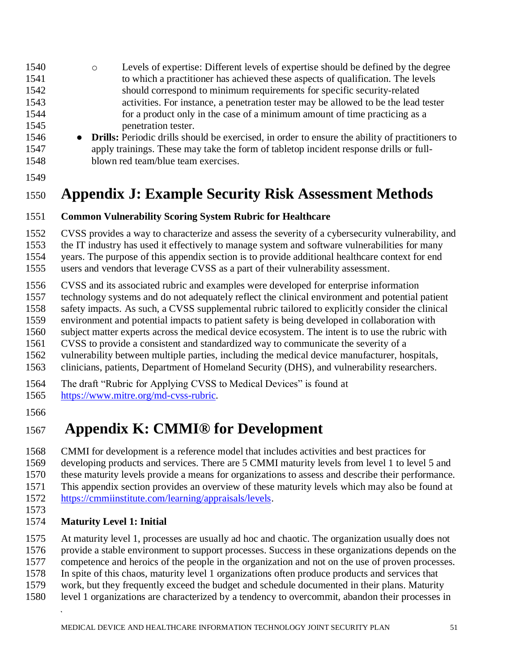- o Levels of expertise: Different levels of expertise should be defined by the degree to which a practitioner has achieved these aspects of qualification. The levels should correspond to minimum requirements for specific security-related activities. For instance, a penetration tester may be allowed to be the lead tester for a product only in the case of a minimum amount of time practicing as a penetration tester.
- **Drills:** Periodic drills should be exercised, in order to ensure the ability of practitioners to apply trainings. These may take the form of tabletop incident response drills or full-blown red team/blue team exercises.
- 

# <span id="page-50-0"></span>**Appendix J: Example Security Risk Assessment Methods**

### **Common Vulnerability Scoring System Rubric for Healthcare**

CVSS provides a way to characterize and assess the severity of a cybersecurity vulnerability, and

the IT industry has used it effectively to manage system and software vulnerabilities for many

years. The purpose of this appendix section is to provide additional healthcare context for end

users and vendors that leverage CVSS as a part of their vulnerability assessment.

CVSS and its associated rubric and examples were developed for enterprise information

technology systems and do not adequately reflect the clinical environment and potential patient

safety impacts. As such, a CVSS supplemental rubric tailored to explicitly consider the clinical

environment and potential impacts to patient safety is being developed in collaboration with

subject matter experts across the medical device ecosystem. The intent is to use the rubric with

CVSS to provide a consistent and standardized way to communicate the severity of a

 vulnerability between multiple parties, including the medical device manufacturer, hospitals, clinicians, patients, Department of Homeland Security (DHS), and vulnerability researchers.

The draft "Rubric for Applying CVSS to Medical Devices" is found at

[https://www.mitre.org/md-cvss-rubric.](https://www.mitre.org/md-cvss-rubric)

# <span id="page-50-1"></span>**Appendix K: CMMI® for Development**

 CMMI for development is a reference model that includes activities and best practices for developing products and services. There are 5 CMMI maturity levels from level 1 to level 5 and these maturity levels provide a means for organizations to assess and describe their performance.

This appendix section provides an overview of these maturity levels which may also be found at

[https://cmmiinstitute.com/learning/appraisals/levels.](https://cmmiinstitute.com/learning/appraisals/levels)

### **Maturity Level 1: Initial**

At maturity level 1, processes are usually ad hoc and chaotic. The organization usually does not

provide a stable environment to support processes. Success in these organizations depends on the

competence and heroics of the people in the organization and not on the use of proven processes.

In spite of this chaos, maturity level 1 organizations often produce products and services that

- work, but they frequently exceed the budget and schedule documented in their plans. Maturity
- level 1 organizations are characterized by a tendency to overcommit, abandon their processes in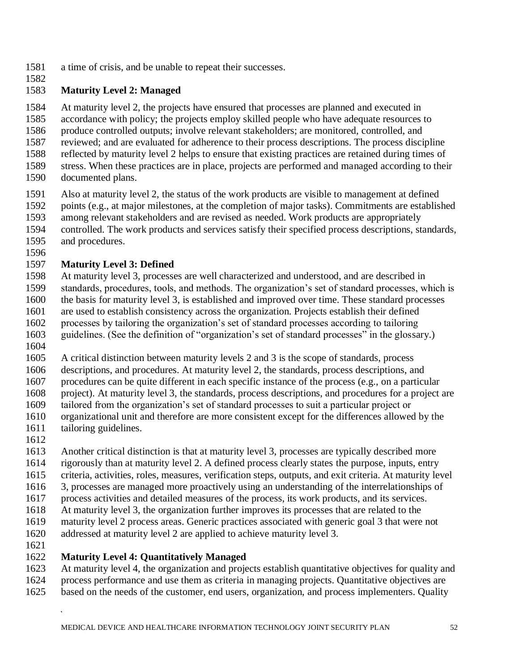- a time of crisis, and be unable to repeat their successes.
- 

### **Maturity Level 2: Managed**

At maturity level 2, the projects have ensured that processes are planned and executed in

accordance with policy; the projects employ skilled people who have adequate resources to

produce controlled outputs; involve relevant stakeholders; are monitored, controlled, and

reviewed; and are evaluated for adherence to their process descriptions. The process discipline

- reflected by maturity level 2 helps to ensure that existing practices are retained during times of
- stress. When these practices are in place, projects are performed and managed according to their
- documented plans.
- 1591 Also at maturity level 2, the status of the work products are visible to management at defined<br>1592 points (e.g., at major milestones, at the completion of major tasks). Commitments are established
- points (e.g., at major milestones, at the completion of major tasks). Commitments are established
- among relevant stakeholders and are revised as needed. Work products are appropriately
- controlled. The work products and services satisfy their specified process descriptions, standards,
- and procedures.

### **Maturity Level 3: Defined**

 At maturity level 3, processes are well characterized and understood, and are described in standards, procedures, tools, and methods. The organization's set of standard processes, which is the basis for maturity level 3, is established and improved over time. These standard processes are used to establish consistency across the organization. Projects establish their defined processes by tailoring the organization's set of standard processes according to tailoring

- guidelines. (See the definition of "organization's set of standard processes" in the glossary.)
- A critical distinction between maturity levels 2 and 3 is the scope of standards, process
- descriptions, and procedures. At maturity level 2, the standards, process descriptions, and
- procedures can be quite different in each specific instance of the process (e.g., on a particular

project). At maturity level 3, the standards, process descriptions, and procedures for a project are

- tailored from the organization's set of standard processes to suit a particular project or
- organizational unit and therefore are more consistent except for the differences allowed by the
- tailoring guidelines.
- 

 Another critical distinction is that at maturity level 3, processes are typically described more rigorously than at maturity level 2. A defined process clearly states the purpose, inputs, entry

- criteria, activities, roles, measures, verification steps, outputs, and exit criteria. At maturity level
- 3, processes are managed more proactively using an understanding of the interrelationships of
- process activities and detailed measures of the process, its work products, and its services.
- At maturity level 3, the organization further improves its processes that are related to the
- maturity level 2 process areas. Generic practices associated with generic goal 3 that were not
- addressed at maturity level 2 are applied to achieve maturity level 3.
- 

### **Maturity Level 4: Quantitatively Managed**

 At maturity level 4, the organization and projects establish quantitative objectives for quality and process performance and use them as criteria in managing projects. Quantitative objectives are

based on the needs of the customer, end users, organization, and process implementers. Quality